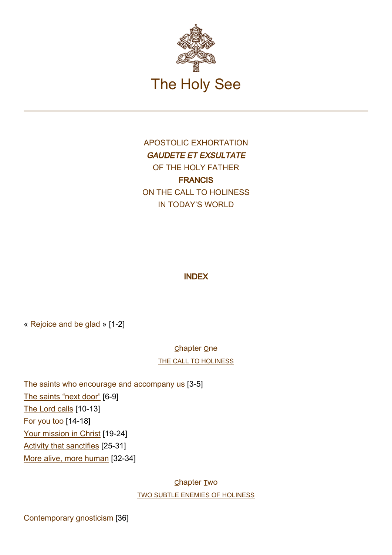

APOSTOLIC EXHORTATION GAUDETE ET EXSULTATE OF THE HOLY FATHER **FRANCIS** ON THE CALL TO HOLINESS IN TODAY'S WORLD

# INDEX

« [Rejoice and be glad](#page-2-0) » [1-2]

[C](#page-2-1)[hapter](#page-2-1) O[ne](#page-2-1) [THE CALL TO HOLINESS](#page-2-2)

[The saints who encourage and accompany us](#page-2-3) [3-5] [The saints "next door"](#page-3-0) [6-9] [The Lord calls](#page-4-0) [10-13] [For you too](#page-5-0) [14-18] [Your mission in Christ](#page-6-0) [19-24] [Activity that sanctifies](#page-7-0) [25-31] [More alive, more human](#page-8-0) [32-34]

> [C](#page-9-0)[hapter](#page-9-0) T[wo](#page-9-0) [TWO SUBTLE ENEMIES OF HOLINESS](#page-9-1)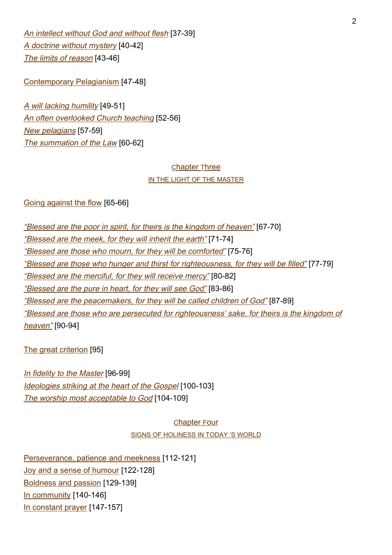[An intellect without God and without flesh](#page-9-3) [37-39] [A doctrine without mystery](#page-10-0) [40-42] [The](#page-10-1) [limits](#page-10-1) [of](#page-10-1) [reason](#page-10-1) [43-46]

[Contemporary Pelagianism](#page-11-0) [47-48]

[A will lacking humility](#page-12-0) [49-51] [An often overlooked Church teaching](#page-12-1) [52-56] [New](#page-14-0) [pelagians](#page-14-0) [57-59] [The](#page-14-1) [summation](#page-14-1) [of](#page-14-1) [the](#page-14-1) [Law](#page-14-1) [60-62]

# [C](#page-15-0)[hapter](#page-15-0) T[hree](#page-15-0)

[IN THE LIGHT OF THE MASTER](#page-15-1)

[Going against the flow](#page-15-2) [65-66]

["Blessed](#page-16-0) [are](#page-16-0) [the](#page-16-0) [poor](#page-16-0) [in](#page-16-0) [spirit,](#page-16-0) [for](#page-16-0) [theirs](#page-16-0) [is](#page-16-0) [the](#page-16-0) [kingdom](#page-16-0) [of](#page-16-0) [heaven"](#page-16-0) [67-70] ["Blessed are the meek, for they will inherit the earth"](#page-16-1) [71-74] ["Blessed are those who mourn, for they will be comforted"](#page-17-0) [75-76] ["Blessed](#page-18-0) [are](#page-18-0) [those](#page-18-0) [who](#page-18-0) [hunger](#page-18-0) [and](#page-18-0) [thirst](#page-18-0) [for](#page-18-0) [righteousness,](#page-18-0) [for](#page-18-0) [they](#page-18-0) [will](#page-18-0) [be](#page-18-0) [filled"](#page-18-0) [77-79] ["Blessed](#page-18-1) [are](#page-18-1) [the](#page-18-1) [merciful,](#page-18-1) [for](#page-18-1) [they](#page-18-1) [will](#page-18-1) [receive](#page-18-1) [mercy"](#page-18-1) [80-82] ["Blessed are the pure in heart, for they will see God"](#page-19-0) [83-86] ["Blessed are the peacemakers, for they will be called children of God"](#page-19-1) [87-89] ["Blessed](#page-20-0) [are](#page-20-0) [those](#page-20-0) [who](#page-20-0) [are](#page-20-0) [persecuted](#page-20-0) [for](#page-20-0) [righteousness'](#page-20-0) [sake,](#page-20-0) [for](#page-20-0) [theirs](#page-20-0) [is](#page-20-0) [the](#page-20-0) [kingdom](#page-20-0) [of](#page-20-0) [heaven"](#page-20-0) [90-94]

[The great criterion](#page-21-0) [95]

[In fidelity to the Master](#page-21-1) [96-99] [Ideologies](#page-22-0) [striking](#page-22-0) [at](#page-22-0) [the](#page-22-0) [heart](#page-22-0) [of](#page-22-0) [the](#page-22-0) [Gospel](#page-22-0) [100-103] [The](#page-23-0) [worship](#page-23-0) [most](#page-23-0) [acceptable](#page-23-0) [to](#page-23-0) [God](#page-23-0) [104-109]

C[hapter](#page-24-0) F[our](#page-24-0)

[SIGNS OF HOLINESS IN TODAY 'S WORLD](#page-24-1)

[Perseverance, patience and meekness](#page-25-0) [112-121] [Joy and a sense of humour](#page-27-0) [122-128] [Boldness and passion](#page-28-0) [129-139] [In community](#page-30-0) [140-146] [In constant prayer](#page-32-0) [147-157]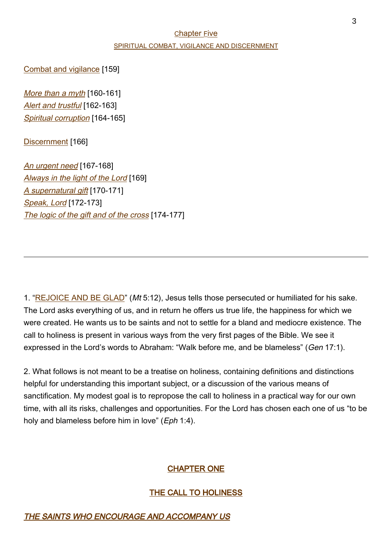# [C](#page-34-0)[hapter](#page-34-0) F[ive](#page-34-0) [SPIRITUAL COMBAT, VIGILANCE AND DISCERNMENT](#page-34-1)

[Combat and vigilance](#page-34-2) [159]

[More than a myth](#page-34-3) [160-161] [Alert](#page-35-0) [and](#page-35-0) [trustful](#page-35-0) [162-163] [Spiritual](#page-35-1) [corruption](#page-35-1) [164-165]

[Discernment](#page-36-0) [166]

[An urgent need](#page-36-1) [167-168] [Always](#page-36-2) [in](#page-36-2) [the](#page-36-2) [light](#page-36-2) [of](#page-36-2) [the](#page-36-2) [Lord](#page-36-2) [169] [A](#page-37-0) [supernatural](#page-37-0) [gift](#page-37-0) [170-171] [Speak, Lord](#page-37-1) [172-173] [The logic of the gift and of the cross](#page-38-0) [174-177]

<span id="page-2-0"></span>1. "REJOICE AND BE GLAD" (Mt 5:12), Jesus tells those persecuted or humiliated for his sake. The Lord asks everything of us, and in return he offers us true life, the happiness for which we were created. He wants us to be saints and not to settle for a bland and mediocre existence. The call to holiness is present in various ways from the very first pages of the Bible. We see it expressed in the Lord's words to Abraham: "Walk before me, and be blameless" (Gen 17:1).

2. What follows is not meant to be a treatise on holiness, containing definitions and distinctions helpful for understanding this important subject, or a discussion of the various means of sanctification. My modest goal is to repropose the call to holiness in a practical way for our own time, with all its risks, challenges and opportunities. For the Lord has chosen each one of us "to be holy and blameless before him in love" (Eph 1:4).

### <span id="page-2-1"></span>CHAPTER ONE

### <span id="page-2-2"></span>THE CALL TO HOLINESS

### <span id="page-2-3"></span>THE SAINTS WHO ENCOURAGE AND ACCOMPANY US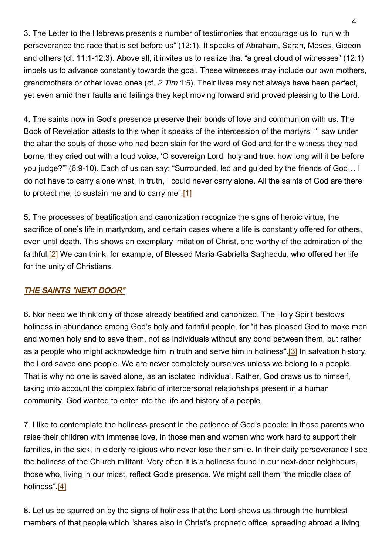3. The Letter to the Hebrews presents a number of testimonies that encourage us to "run with perseverance the race that is set before us" (12:1). It speaks of Abraham, Sarah, Moses, Gideon and others (cf. 11:1-12:3). Above all, it invites us to realize that "a great cloud of witnesses" (12:1) impels us to advance constantly towards the goal. These witnesses may include our own mothers, grandmothers or other loved ones (cf. 2 Tim 1:5). Their lives may not always have been perfect, yet even amid their faults and failings they kept moving forward and proved pleasing to the Lord.

4. The saints now in God's presence preserve their bonds of love and communion with us. The Book of Revelation attests to this when it speaks of the intercession of the martyrs: "I saw under the altar the souls of those who had been slain for the word of God and for the witness they had borne; they cried out with a loud voice, 'O sovereign Lord, holy and true, how long will it be before you judge?'" (6:9-10). Each of us can say: "Surrounded, led and guided by the friends of God… I do not have to carry alone what, in truth, I could never carry alone. All the saints of God are there to protect me, to sustain me and to carry me".[1]

5. The processes of beatification and canonization recognize the signs of heroic virtue, the sacrifice of one's life in martyrdom, and certain cases where a life is constantly offered for others, even until death. This shows an exemplary imitation of Christ, one worthy of the admiration of the faithful.<sup>[2]</sup> We can think, for example, of Blessed Maria Gabriella Sagheddu, who offered her life for the unity of Christians.

# <span id="page-3-0"></span>THE SAINTS "NEXT DOOR"

6. Nor need we think only of those already beatified and canonized. The Holy Spirit bestows holiness in abundance among God's holy and faithful people, for "it has pleased God to make men and women holy and to save them, not as individuals without any bond between them, but rather as a people who might acknowledge him in truth and serve him in holiness".[3] In salvation history, the Lord saved one people. We are never completely ourselves unless we belong to a people. That is why no one is saved alone, as an isolated individual. Rather, God draws us to himself, taking into account the complex fabric of interpersonal relationships present in a human community. God wanted to enter into the life and history of a people.

7. I like to contemplate the holiness present in the patience of God's people: in those parents who raise their children with immense love, in those men and women who work hard to support their families, in the sick, in elderly religious who never lose their smile. In their daily perseverance I see the holiness of the Church militant. Very often it is a holiness found in our next-door neighbours, those who, living in our midst, reflect God's presence. We might call them "the middle class of holiness".[4]

8. Let us be spurred on by the signs of holiness that the Lord shows us through the humblest members of that people which "shares also in Christ's prophetic office, spreading abroad a living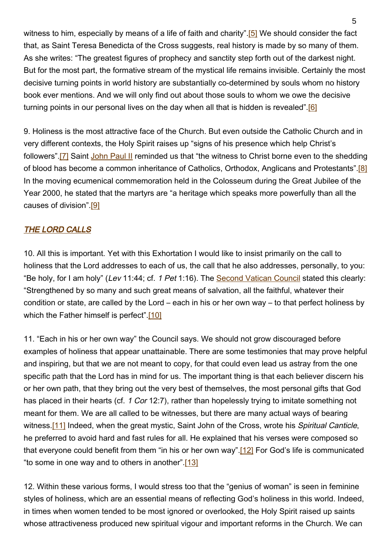witness to him, especially by means of a life of faith and charity".<sup>[5]</sup> We should consider the fact that, as Saint Teresa Benedicta of the Cross suggests, real history is made by so many of them. As she writes: "The greatest figures of prophecy and sanctity step forth out of the darkest night. But for the most part, the formative stream of the mystical life remains invisible. Certainly the most decisive turning points in world history are substantially co-determined by souls whom no history book ever mentions. And we will only find out about those souls to whom we owe the decisive turning points in our personal lives on the day when all that is hidden is revealed".<sup>[6]</sup>

9. Holiness is the most attractive face of the Church. But even outside the Catholic Church and in very different contexts, the Holy Spirit raises up "signs of his presence which help Christ's followers".[7] Saint [John Paul II](http://w2.vatican.va/content/john-paul-ii/en.html) reminded us that "the witness to Christ borne even to the shedding of blood has become a common inheritance of Catholics, Orthodox, Anglicans and Protestants".<sup>[8]</sup> In the moving ecumenical commemoration held in the Colosseum during the Great Jubilee of the Year 2000, he stated that the martyrs are "a heritage which speaks more powerfully than all the causes of division".[9]

### <span id="page-4-0"></span>THE LORD CALLS

10. All this is important. Yet with this Exhortation I would like to insist primarily on the call to holiness that the Lord addresses to each of us, the call that he also addresses, personally, to you: "Be holy, for I am holy" (Lev 11:44; cf. 1 Pet 1:16). The [Second Vatican Council](http://www.vatican.va/archive/hist_councils/ii_vatican_council/index.htm) stated this clearly: "Strengthened by so many and such great means of salvation, all the faithful, whatever their condition or state, are called by the Lord – each in his or her own way – to that perfect holiness by which the Father himself is perfect".[10]

11. "Each in his or her own way" the Council says. We should not grow discouraged before examples of holiness that appear unattainable. There are some testimonies that may prove helpful and inspiring, but that we are not meant to copy, for that could even lead us astray from the one specific path that the Lord has in mind for us. The important thing is that each believer discern his or her own path, that they bring out the very best of themselves, the most personal gifts that God has placed in their hearts (cf. 1 Cor 12:7), rather than hopelessly trying to imitate something not meant for them. We are all called to be witnesses, but there are many actual ways of bearing witness.<sup>[11]</sup> Indeed, when the great mystic, Saint John of the Cross, wrote his Spiritual Canticle, he preferred to avoid hard and fast rules for all. He explained that his verses were composed so that everyone could benefit from them "in his or her own way".[12] For God's life is communicated "to some in one way and to others in another".[13]

12. Within these various forms, I would stress too that the "genius of woman" is seen in feminine styles of holiness, which are an essential means of reflecting God's holiness in this world. Indeed, in times when women tended to be most ignored or overlooked, the Holy Spirit raised up saints whose attractiveness produced new spiritual vigour and important reforms in the Church. We can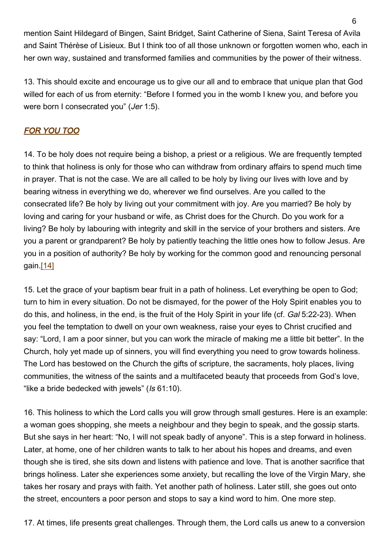mention Saint Hildegard of Bingen, Saint Bridget, Saint Catherine of Siena, Saint Teresa of Avila and Saint Thérèse of Lisieux. But I think too of all those unknown or forgotten women who, each in her own way, sustained and transformed families and communities by the power of their witness.

13. This should excite and encourage us to give our all and to embrace that unique plan that God willed for each of us from eternity: "Before I formed you in the womb I knew you, and before you were born I consecrated you" (Jer 1:5).

# <span id="page-5-0"></span>FOR YOU TOO

14. To be holy does not require being a bishop, a priest or a religious. We are frequently tempted to think that holiness is only for those who can withdraw from ordinary affairs to spend much time in prayer. That is not the case. We are all called to be holy by living our lives with love and by bearing witness in everything we do, wherever we find ourselves. Are you called to the consecrated life? Be holy by living out your commitment with joy. Are you married? Be holy by loving and caring for your husband or wife, as Christ does for the Church. Do you work for a living? Be holy by labouring with integrity and skill in the service of your brothers and sisters. Are you a parent or grandparent? Be holy by patiently teaching the little ones how to follow Jesus. Are you in a position of authority? Be holy by working for the common good and renouncing personal gain.[14]

15. Let the grace of your baptism bear fruit in a path of holiness. Let everything be open to God; turn to him in every situation. Do not be dismayed, for the power of the Holy Spirit enables you to do this, and holiness, in the end, is the fruit of the Holy Spirit in your life (cf. Gal 5:22-23). When you feel the temptation to dwell on your own weakness, raise your eyes to Christ crucified and say: "Lord, I am a poor sinner, but you can work the miracle of making me a little bit better". In the Church, holy yet made up of sinners, you will find everything you need to grow towards holiness. The Lord has bestowed on the Church the gifts of scripture, the sacraments, holy places, living communities, the witness of the saints and a multifaceted beauty that proceeds from God's love, "like a bride bedecked with jewels" (Is 61:10).

16. This holiness to which the Lord calls you will grow through small gestures. Here is an example: a woman goes shopping, she meets a neighbour and they begin to speak, and the gossip starts. But she says in her heart: "No, I will not speak badly of anyone". This is a step forward in holiness. Later, at home, one of her children wants to talk to her about his hopes and dreams, and even though she is tired, she sits down and listens with patience and love. That is another sacrifice that brings holiness. Later she experiences some anxiety, but recalling the love of the Virgin Mary, she takes her rosary and prays with faith. Yet another path of holiness. Later still, she goes out onto the street, encounters a poor person and stops to say a kind word to him. One more step.

17. At times, life presents great challenges. Through them, the Lord calls us anew to a conversion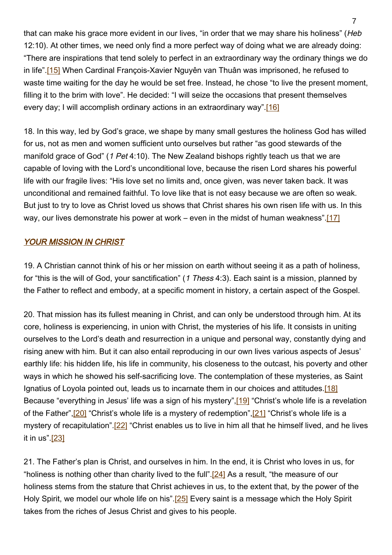that can make his grace more evident in our lives, "in order that we may share his holiness" (Heb 12:10). At other times, we need only find a more perfect way of doing what we are already doing: "There are inspirations that tend solely to perfect in an extraordinary way the ordinary things we do in life".[15] When Cardinal François-Xavier Nguyên van Thuân was imprisoned, he refused to waste time waiting for the day he would be set free. Instead, he chose "to live the present moment, filling it to the brim with love". He decided: "I will seize the occasions that present themselves every day; I will accomplish ordinary actions in an extraordinary way".[16]

18. In this way, led by God's grace, we shape by many small gestures the holiness God has willed for us, not as men and women sufficient unto ourselves but rather "as good stewards of the manifold grace of God" (1 Pet 4:10). The New Zealand bishops rightly teach us that we are capable of loving with the Lord's unconditional love, because the risen Lord shares his powerful life with our fragile lives: "His love set no limits and, once given, was never taken back. It was unconditional and remained faithful. To love like that is not easy because we are often so weak. But just to try to love as Christ loved us shows that Christ shares his own risen life with us. In this way, our lives demonstrate his power at work – even in the midst of human weakness".[17]

### <span id="page-6-0"></span>YOUR MISSION IN CHRIST

19. A Christian cannot think of his or her mission on earth without seeing it as a path of holiness, for "this is the will of God, your sanctification" (1 Thess 4:3). Each saint is a mission, planned by the Father to reflect and embody, at a specific moment in history, a certain aspect of the Gospel.

20. That mission has its fullest meaning in Christ, and can only be understood through him. At its core, holiness is experiencing, in union with Christ, the mysteries of his life. It consists in uniting ourselves to the Lord's death and resurrection in a unique and personal way, constantly dying and rising anew with him. But it can also entail reproducing in our own lives various aspects of Jesus' earthly life: his hidden life, his life in community, his closeness to the outcast, his poverty and other ways in which he showed his self-sacrificing love. The contemplation of these mysteries, as Saint Ignatius of Loyola pointed out, leads us to incarnate them in our choices and attitudes.[18] Because "everything in Jesus' life was a sign of his mystery",[19] "Christ's whole life is a revelation of the Father",[20] "Christ's whole life is a mystery of redemption",[21] "Christ's whole life is a mystery of recapitulation".<sup>[22]</sup> "Christ enables us to live in him all that he himself lived, and he lives it in us".[23]

21. The Father's plan is Christ, and ourselves in him. In the end, it is Christ who loves in us, for "holiness is nothing other than charity lived to the full".[24] As a result, "the measure of our holiness stems from the stature that Christ achieves in us, to the extent that, by the power of the Holy Spirit, we model our whole life on his".<sup>[25]</sup> Every saint is a message which the Holy Spirit takes from the riches of Jesus Christ and gives to his people.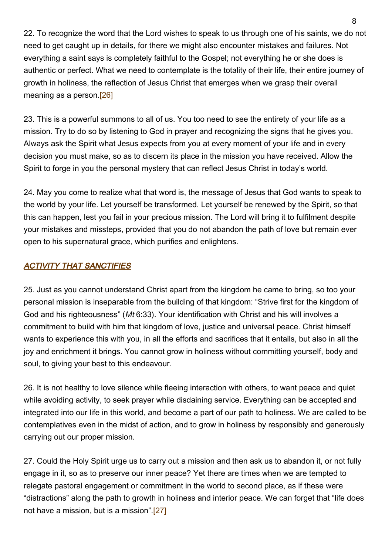22. To recognize the word that the Lord wishes to speak to us through one of his saints, we do not need to get caught up in details, for there we might also encounter mistakes and failures. Not everything a saint says is completely faithful to the Gospel; not everything he or she does is authentic or perfect. What we need to contemplate is the totality of their life, their entire journey of growth in holiness, the reflection of Jesus Christ that emerges when we grasp their overall meaning as a person.[26]

23. This is a powerful summons to all of us. You too need to see the entirety of your life as a mission. Try to do so by listening to God in prayer and recognizing the signs that he gives you. Always ask the Spirit what Jesus expects from you at every moment of your life and in every decision you must make, so as to discern its place in the mission you have received. Allow the Spirit to forge in you the personal mystery that can reflect Jesus Christ in today's world.

24. May you come to realize what that word is, the message of Jesus that God wants to speak to the world by your life. Let yourself be transformed. Let yourself be renewed by the Spirit, so that this can happen, lest you fail in your precious mission. The Lord will bring it to fulfilment despite your mistakes and missteps, provided that you do not abandon the path of love but remain ever open to his supernatural grace, which purifies and enlightens.

### <span id="page-7-0"></span>**ACTIVITY THAT SANCTIFIES**

25. Just as you cannot understand Christ apart from the kingdom he came to bring, so too your personal mission is inseparable from the building of that kingdom: "Strive first for the kingdom of God and his righteousness" (*Mt* 6:33). Your identification with Christ and his will involves a commitment to build with him that kingdom of love, justice and universal peace. Christ himself wants to experience this with you, in all the efforts and sacrifices that it entails, but also in all the joy and enrichment it brings. You cannot grow in holiness without committing yourself, body and soul, to giving your best to this endeavour.

26. It is not healthy to love silence while fleeing interaction with others, to want peace and quiet while avoiding activity, to seek prayer while disdaining service. Everything can be accepted and integrated into our life in this world, and become a part of our path to holiness. We are called to be contemplatives even in the midst of action, and to grow in holiness by responsibly and generously carrying out our proper mission.

27. Could the Holy Spirit urge us to carry out a mission and then ask us to abandon it, or not fully engage in it, so as to preserve our inner peace? Yet there are times when we are tempted to relegate pastoral engagement or commitment in the world to second place, as if these were "distractions" along the path to growth in holiness and interior peace. We can forget that "life does not have a mission, but is a mission".[27]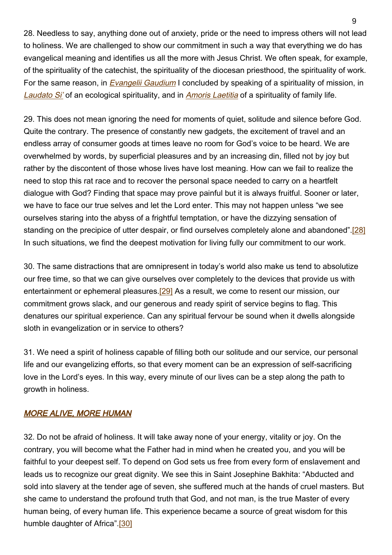28. Needless to say, anything done out of anxiety, pride or the need to impress others will not lead to holiness. We are challenged to show our commitment in such a way that everything we do has evangelical meaning and identifies us all the more with Jesus Christ. We often speak, for example, of the spirituality of the catechist, the spirituality of the diocesan priesthood, the spirituality of work. For the same reason, in *[Evangelii Gaudium](http://w2.vatican.va/content/francesco/en/apost_exhortations/documents/papa-francesco_esortazione-ap_20131124_evangelii-gaudium.html)* I concluded by speaking of a spirituality of mission, in [Laudato Si'](http://w2.vatican.va/content/francesco/en/encyclicals/documents/papa-francesco_20150524_enciclica-laudato-si.html) of an ecological spirituality, and in [Amoris Laetitia](http://w2.vatican.va/content/francesco/en/apost_exhortations/documents/papa-francesco_esortazione-ap_20160319_amoris-laetitia.html) of a spirituality of family life.

29. This does not mean ignoring the need for moments of quiet, solitude and silence before God. Quite the contrary. The presence of constantly new gadgets, the excitement of travel and an endless array of consumer goods at times leave no room for God's voice to be heard. We are overwhelmed by words, by superficial pleasures and by an increasing din, filled not by joy but rather by the discontent of those whose lives have lost meaning. How can we fail to realize the need to stop this rat race and to recover the personal space needed to carry on a heartfelt dialogue with God? Finding that space may prove painful but it is always fruitful. Sooner or later, we have to face our true selves and let the Lord enter. This may not happen unless "we see ourselves staring into the abyss of a frightful temptation, or have the dizzying sensation of standing on the precipice of utter despair, or find ourselves completely alone and abandoned".[28] In such situations, we find the deepest motivation for living fully our commitment to our work.

30. The same distractions that are omnipresent in today's world also make us tend to absolutize our free time, so that we can give ourselves over completely to the devices that provide us with entertainment or ephemeral pleasures.<sup>[29]</sup> As a result, we come to resent our mission, our commitment grows slack, and our generous and ready spirit of service begins to flag. This denatures our spiritual experience. Can any spiritual fervour be sound when it dwells alongside sloth in evangelization or in service to others?

31. We need a spirit of holiness capable of filling both our solitude and our service, our personal life and our evangelizing efforts, so that every moment can be an expression of self-sacrificing love in the Lord's eyes. In this way, every minute of our lives can be a step along the path to growth in holiness.

### <span id="page-8-0"></span>MORE ALIVE, MORE HUMAN

32. Do not be afraid of holiness. It will take away none of your energy, vitality or joy. On the contrary, you will become what the Father had in mind when he created you, and you will be faithful to your deepest self. To depend on God sets us free from every form of enslavement and leads us to recognize our great dignity. We see this in Saint Josephine Bakhita: "Abducted and sold into slavery at the tender age of seven, she suffered much at the hands of cruel masters. But she came to understand the profound truth that God, and not man, is the true Master of every human being, of every human life. This experience became a source of great wisdom for this humble daughter of Africa".[30]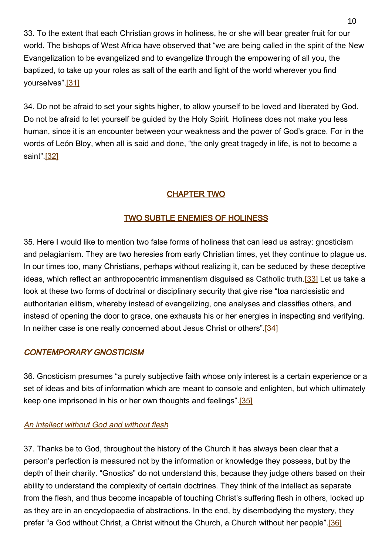33. To the extent that each Christian grows in holiness, he or she will bear greater fruit for our world. The bishops of West Africa have observed that "we are being called in the spirit of the New Evangelization to be evangelized and to evangelize through the empowering of all you, the baptized, to take up your roles as salt of the earth and light of the world wherever you find yourselves".[31]

34. Do not be afraid to set your sights higher, to allow yourself to be loved and liberated by God. Do not be afraid to let yourself be guided by the Holy Spirit. Holiness does not make you less human, since it is an encounter between your weakness and the power of God's grace. For in the words of León Bloy, when all is said and done, "the only great tragedy in life, is not to become a saint".[32]

# <span id="page-9-0"></span>CHAPTER TWO

# <span id="page-9-1"></span>TWO SUBTLE ENEMIES OF HOLINESS

35. Here I would like to mention two false forms of holiness that can lead us astray: gnosticism and pelagianism. They are two heresies from early Christian times, yet they continue to plague us. In our times too, many Christians, perhaps without realizing it, can be seduced by these deceptive ideas, which reflect an anthropocentric immanentism disguised as Catholic truth.[33] Let us take a look at these two forms of doctrinal or disciplinary security that give rise "toa narcissistic and authoritarian elitism, whereby instead of evangelizing, one analyses and classifies others, and instead of opening the door to grace, one exhausts his or her energies in inspecting and verifying. In neither case is one really concerned about Jesus Christ or others".[34]

# <span id="page-9-2"></span>CONTEMPORARY GNOSTICISM

36. Gnosticism presumes "a purely subjective faith whose only interest is a certain experience or a set of ideas and bits of information which are meant to console and enlighten, but which ultimately keep one imprisoned in his or her own thoughts and feelings".[35]

# <span id="page-9-3"></span>An intellect without God and without flesh

37. Thanks be to God, throughout the history of the Church it has always been clear that a person's perfection is measured not by the information or knowledge they possess, but by the depth of their charity. "Gnostics" do not understand this, because they judge others based on their ability to understand the complexity of certain doctrines. They think of the intellect as separate from the flesh, and thus become incapable of touching Christ's suffering flesh in others, locked up as they are in an encyclopaedia of abstractions. In the end, by disembodying the mystery, they prefer "a God without Christ, a Christ without the Church, a Church without her people".[36]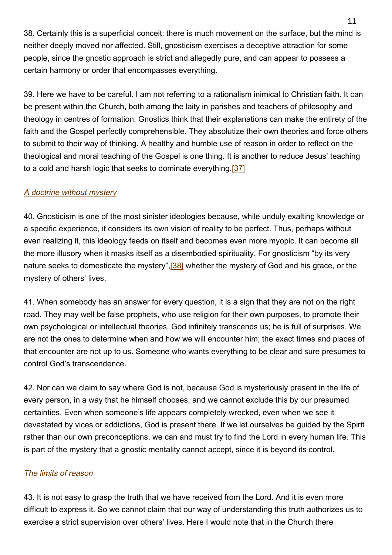38. Certainly this is a superficial conceit: there is much movement on the surface, but the mind is neither deeply moved nor affected. Still, gnosticism exercises a deceptive attraction for some people, since the gnostic approach is strict and allegedly pure, and can appear to possess a certain harmony or order that encompasses everything.

39. Here we have to be careful. I am not referring to a rationalism inimical to Christian faith. It can be present within the Church, both among the laity in parishes and teachers of philosophy and theology in centres of formation. Gnostics think that their explanations can make the entirety of the faith and the Gospel perfectly comprehensible. They absolutize their own theories and force others to submit to their way of thinking. A healthy and humble use of reason in order to reflect on the theological and moral teaching of the Gospel is one thing. It is another to reduce Jesus' teaching to a cold and harsh logic that seeks to dominate everything.[37]

### <span id="page-10-0"></span>A doctrine without mystery

40. Gnosticism is one of the most sinister ideologies because, while unduly exalting knowledge or a specific experience, it considers its own vision of reality to be perfect. Thus, perhaps without even realizing it, this ideology feeds on itself and becomes even more myopic. It can become all the more illusory when it masks itself as a disembodied spirituality. For gnosticism "by its very nature seeks to domesticate the mystery", [38] whether the mystery of God and his grace, or the mystery of others' lives.

41. When somebody has an answer for every question, it is a sign that they are not on the right road. They may well be false prophets, who use religion for their own purposes, to promote their own psychological or intellectual theories. God infinitely transcends us; he is full of surprises. We are not the ones to determine when and how we will encounter him; the exact times and places of that encounter are not up to us. Someone who wants everything to be clear and sure presumes to control God's transcendence.

42. Nor can we claim to say where God is not, because God is mysteriously present in the life of every person, in a way that he himself chooses, and we cannot exclude this by our presumed certainties. Even when someone's life appears completely wrecked, even when we see it devastated by vices or addictions, God is present there. If we let ourselves be guided by the Spirit rather than our own preconceptions, we can and must try to find the Lord in every human life. This is part of the mystery that a gnostic mentality cannot accept, since it is beyond its control.

### <span id="page-10-1"></span>The limits of reason

43. It is not easy to grasp the truth that we have received from the Lord. And it is even more difficult to express it. So we cannot claim that our way of understanding this truth authorizes us to exercise a strict supervision over others' lives. Here I would note that in the Church there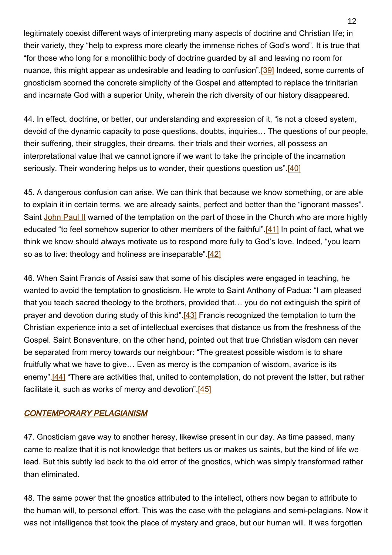legitimately coexist different ways of interpreting many aspects of doctrine and Christian life; in their variety, they "help to express more clearly the immense riches of God's word". It is true that "for those who long for a monolithic body of doctrine guarded by all and leaving no room for nuance, this might appear as undesirable and leading to confusion".[39] Indeed, some currents of gnosticism scorned the concrete simplicity of the Gospel and attempted to replace the trinitarian and incarnate God with a superior Unity, wherein the rich diversity of our history disappeared.

44. In effect, doctrine, or better, our understanding and expression of it, "is not a closed system, devoid of the dynamic capacity to pose questions, doubts, inquiries… The questions of our people, their suffering, their struggles, their dreams, their trials and their worries, all possess an interpretational value that we cannot ignore if we want to take the principle of the incarnation seriously. Their wondering helps us to wonder, their questions question us".<sup>[40]</sup>

45. A dangerous confusion can arise. We can think that because we know something, or are able to explain it in certain terms, we are already saints, perfect and better than the "ignorant masses". Saint [John Paul II](http://w2.vatican.va/content/john-paul-ii/en.html) warned of the temptation on the part of those in the Church who are more highly educated "to feel somehow superior to other members of the faithful".[41] In point of fact, what we think we know should always motivate us to respond more fully to God's love. Indeed, "you learn so as to live: theology and holiness are inseparable" [42]

46. When Saint Francis of Assisi saw that some of his disciples were engaged in teaching, he wanted to avoid the temptation to gnosticism. He wrote to Saint Anthony of Padua: "I am pleased that you teach sacred theology to the brothers, provided that… you do not extinguish the spirit of prayer and devotion during study of this kind".[43] Francis recognized the temptation to turn the Christian experience into a set of intellectual exercises that distance us from the freshness of the Gospel. Saint Bonaventure, on the other hand, pointed out that true Christian wisdom can never be separated from mercy towards our neighbour: "The greatest possible wisdom is to share fruitfully what we have to give… Even as mercy is the companion of wisdom, avarice is its enemy".[44] "There are activities that, united to contemplation, do not prevent the latter, but rather facilitate it, such as works of mercy and devotion".[45]

### <span id="page-11-0"></span>CONTEMPORARY PELAGIANISM

47. Gnosticism gave way to another heresy, likewise present in our day. As time passed, many came to realize that it is not knowledge that betters us or makes us saints, but the kind of life we lead. But this subtly led back to the old error of the gnostics, which was simply transformed rather than eliminated.

48. The same power that the gnostics attributed to the intellect, others now began to attribute to the human will, to personal effort. This was the case with the pelagians and semi-pelagians. Now it was not intelligence that took the place of mystery and grace, but our human will. It was forgotten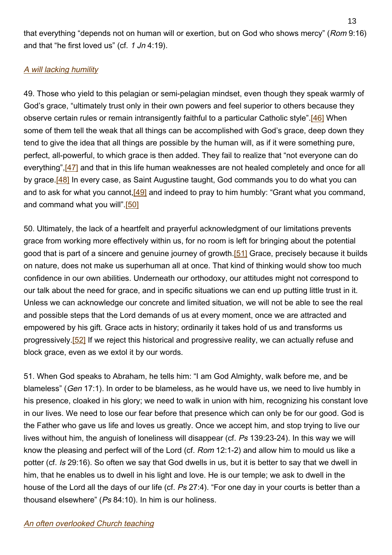that everything "depends not on human will or exertion, but on God who shows mercy" (Rom 9:16) and that "he first loved us" (cf. 1 Jn 4:19).

### <span id="page-12-0"></span>A will lacking humility

49. Those who yield to this pelagian or semi-pelagian mindset, even though they speak warmly of God's grace, "ultimately trust only in their own powers and feel superior to others because they observe certain rules or remain intransigently faithful to a particular Catholic style".[46] When some of them tell the weak that all things can be accomplished with God's grace, deep down they tend to give the idea that all things are possible by the human will, as if it were something pure, perfect, all-powerful, to which grace is then added. They fail to realize that "not everyone can do everything", [47] and that in this life human weaknesses are not healed completely and once for all by grace.<sup>[48]</sup> In every case, as Saint Augustine taught, God commands you to do what you can and to ask for what you cannot, [49] and indeed to pray to him humbly: "Grant what you command, and command what you will".[50]

50. Ultimately, the lack of a heartfelt and prayerful acknowledgment of our limitations prevents grace from working more effectively within us, for no room is left for bringing about the potential good that is part of a sincere and genuine journey of growth.<sup>[51]</sup> Grace, precisely because it builds on nature, does not make us superhuman all at once. That kind of thinking would show too much confidence in our own abilities. Underneath our orthodoxy, our attitudes might not correspond to our talk about the need for grace, and in specific situations we can end up putting little trust in it. Unless we can acknowledge our concrete and limited situation, we will not be able to see the real and possible steps that the Lord demands of us at every moment, once we are attracted and empowered by his gift. Grace acts in history; ordinarily it takes hold of us and transforms us progressively.[52] If we reject this historical and progressive reality, we can actually refuse and block grace, even as we extol it by our words.

<span id="page-12-1"></span>51. When God speaks to Abraham, he tells him: "I am God Almighty, walk before me, and be blameless" (Gen 17:1). In order to be blameless, as he would have us, we need to live humbly in his presence, cloaked in his glory; we need to walk in union with him, recognizing his constant love in our lives. We need to lose our fear before that presence which can only be for our good. God is the Father who gave us life and loves us greatly. Once we accept him, and stop trying to live our lives without him, the anguish of loneliness will disappear (cf. Ps 139:23-24). In this way we will know the pleasing and perfect will of the Lord (cf. Rom 12:1-2) and allow him to mould us like a potter (cf. Is 29:16). So often we say that God dwells in us, but it is better to say that we dwell in him, that he enables us to dwell in his light and love. He is our temple; we ask to dwell in the house of the Lord all the days of our life (cf. Ps 27:4). "For one day in your courts is better than a thousand elsewhere" (Ps 84:10). In him is our holiness.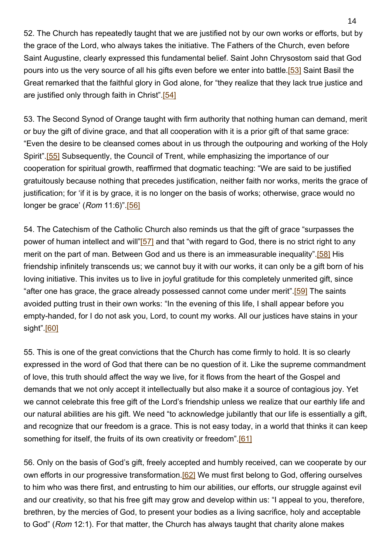52. The Church has repeatedly taught that we are justified not by our own works or efforts, but by the grace of the Lord, who always takes the initiative. The Fathers of the Church, even before Saint Augustine, clearly expressed this fundamental belief. Saint John Chrysostom said that God pours into us the very source of all his gifts even before we enter into battle.[53] Saint Basil the Great remarked that the faithful glory in God alone, for "they realize that they lack true justice and are justified only through faith in Christ".[54]

53. The Second Synod of Orange taught with firm authority that nothing human can demand, merit or buy the gift of divine grace, and that all cooperation with it is a prior gift of that same grace: "Even the desire to be cleansed comes about in us through the outpouring and working of the Holy Spirit".<sup>[55]</sup> Subsequently, the Council of Trent, while emphasizing the importance of our cooperation for spiritual growth, reaffirmed that dogmatic teaching: "We are said to be justified gratuitously because nothing that precedes justification, neither faith nor works, merits the grace of justification; for 'if it is by grace, it is no longer on the basis of works; otherwise, grace would no longer be grace' (Rom 11:6)".<sup>[56]</sup>

54. The Catechism of the Catholic Church also reminds us that the gift of grace "surpasses the power of human intellect and will"[57] and that "with regard to God, there is no strict right to any merit on the part of man. Between God and us there is an immeasurable inequality". [58] His friendship infinitely transcends us; we cannot buy it with our works, it can only be a gift born of his loving initiative. This invites us to live in joyful gratitude for this completely unmerited gift, since "after one has grace, the grace already possessed cannot come under merit".<sup>[59]</sup> The saints avoided putting trust in their own works: "In the evening of this life, I shall appear before you empty-handed, for I do not ask you, Lord, to count my works. All our justices have stains in your sight".[60]

55. This is one of the great convictions that the Church has come firmly to hold. It is so clearly expressed in the word of God that there can be no question of it. Like the supreme commandment of love, this truth should affect the way we live, for it flows from the heart of the Gospel and demands that we not only accept it intellectually but also make it a source of contagious joy. Yet we cannot celebrate this free gift of the Lord's friendship unless we realize that our earthly life and our natural abilities are his gift. We need "to acknowledge jubilantly that our life is essentially a gift, and recognize that our freedom is a grace. This is not easy today, in a world that thinks it can keep something for itself, the fruits of its own creativity or freedom".[61]

56. Only on the basis of God's gift, freely accepted and humbly received, can we cooperate by our own efforts in our progressive transformation.[62] We must first belong to God, offering ourselves to him who was there first, and entrusting to him our abilities, our efforts, our struggle against evil and our creativity, so that his free gift may grow and develop within us: "I appeal to you, therefore, brethren, by the mercies of God, to present your bodies as a living sacrifice, holy and acceptable to God" (Rom 12:1). For that matter, the Church has always taught that charity alone makes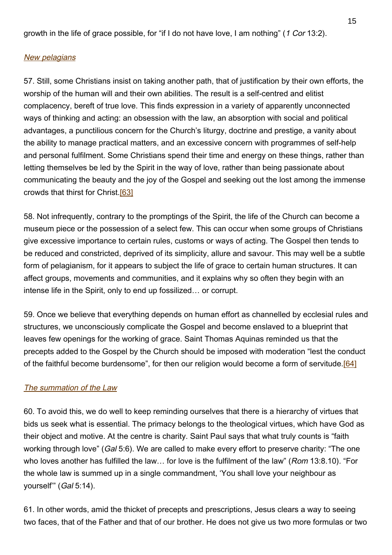growth in the life of grace possible, for "if I do not have love, I am nothing" (1 Cor 13:2).

### <span id="page-14-0"></span>New pelagians

57. Still, some Christians insist on taking another path, that of justification by their own efforts, the worship of the human will and their own abilities. The result is a self-centred and elitist complacency, bereft of true love. This finds expression in a variety of apparently unconnected ways of thinking and acting: an obsession with the law, an absorption with social and political advantages, a punctilious concern for the Church's liturgy, doctrine and prestige, a vanity about the ability to manage practical matters, and an excessive concern with programmes of self-help and personal fulfilment. Some Christians spend their time and energy on these things, rather than letting themselves be led by the Spirit in the way of love, rather than being passionate about communicating the beauty and the joy of the Gospel and seeking out the lost among the immense crowds that thirst for Christ.[63]

58. Not infrequently, contrary to the promptings of the Spirit, the life of the Church can become a museum piece or the possession of a select few. This can occur when some groups of Christians give excessive importance to certain rules, customs or ways of acting. The Gospel then tends to be reduced and constricted, deprived of its simplicity, allure and savour. This may well be a subtle form of pelagianism, for it appears to subject the life of grace to certain human structures. It can affect groups, movements and communities, and it explains why so often they begin with an intense life in the Spirit, only to end up fossilized… or corrupt.

59. Once we believe that everything depends on human effort as channelled by ecclesial rules and structures, we unconsciously complicate the Gospel and become enslaved to a blueprint that leaves few openings for the working of grace. Saint Thomas Aquinas reminded us that the precepts added to the Gospel by the Church should be imposed with moderation "lest the conduct of the faithful become burdensome", for then our religion would become a form of servitude.[64]

### <span id="page-14-1"></span>The summation of the Law

60. To avoid this, we do well to keep reminding ourselves that there is a hierarchy of virtues that bids us seek what is essential. The primacy belongs to the theological virtues, which have God as their object and motive. At the centre is charity. Saint Paul says that what truly counts is "faith working through love" (Gal 5:6). We are called to make every effort to preserve charity: "The one who loves another has fulfilled the law... for love is the fulfilment of the law" (Rom 13:8.10). "For the whole law is summed up in a single commandment, 'You shall love your neighbour as yourself'" (Gal 5:14).

61. In other words, amid the thicket of precepts and prescriptions, Jesus clears a way to seeing two faces, that of the Father and that of our brother. He does not give us two more formulas or two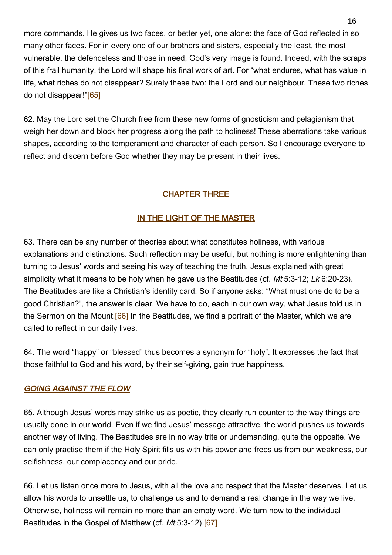more commands. He gives us two faces, or better yet, one alone: the face of God reflected in so many other faces. For in every one of our brothers and sisters, especially the least, the most vulnerable, the defenceless and those in need, God's very image is found. Indeed, with the scraps of this frail humanity, the Lord will shape his final work of art. For "what endures, what has value in life, what riches do not disappear? Surely these two: the Lord and our neighbour. These two riches do not disappear!"[65]

62. May the Lord set the Church free from these new forms of gnosticism and pelagianism that weigh her down and block her progress along the path to holiness! These aberrations take various shapes, according to the temperament and character of each person. So I encourage everyone to reflect and discern before God whether they may be present in their lives.

### <span id="page-15-0"></span>CHAPTER THREE

#### <span id="page-15-1"></span>IN THE LIGHT OF THE MASTER

63. There can be any number of theories about what constitutes holiness, with various explanations and distinctions. Such reflection may be useful, but nothing is more enlightening than turning to Jesus' words and seeing his way of teaching the truth. Jesus explained with great simplicity what it means to be holy when he gave us the Beatitudes (cf.  $Mt$  5:3-12;  $Lk$  6:20-23). The Beatitudes are like a Christian's identity card. So if anyone asks: "What must one do to be a good Christian?", the answer is clear. We have to do, each in our own way, what Jesus told us in the Sermon on the Mount.[66] In the Beatitudes, we find a portrait of the Master, which we are called to reflect in our daily lives.

64. The word "happy" or "blessed" thus becomes a synonym for "holy". It expresses the fact that those faithful to God and his word, by their self-giving, gain true happiness.

#### <span id="page-15-2"></span>GOING AGAINST THE FLOW

65. Although Jesus' words may strike us as poetic, they clearly run counter to the way things are usually done in our world. Even if we find Jesus' message attractive, the world pushes us towards another way of living. The Beatitudes are in no way trite or undemanding, quite the opposite. We can only practise them if the Holy Spirit fills us with his power and frees us from our weakness, our selfishness, our complacency and our pride.

66. Let us listen once more to Jesus, with all the love and respect that the Master deserves. Let us allow his words to unsettle us, to challenge us and to demand a real change in the way we live. Otherwise, holiness will remain no more than an empty word. We turn now to the individual Beatitudes in the Gospel of Matthew (cf. Mt 5:3-12).[67]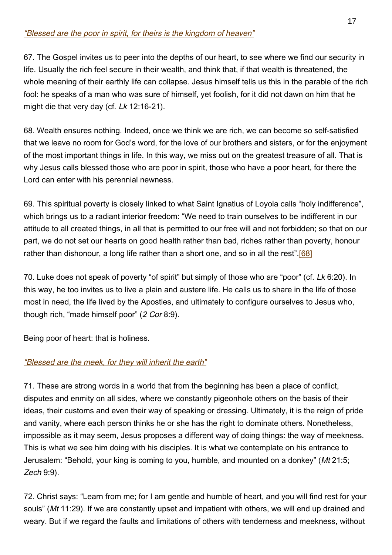# <span id="page-16-0"></span>"Blessed are the poor in spirit, for theirs is the kingdom of heaven"

67. The Gospel invites us to peer into the depths of our heart, to see where we find our security in life. Usually the rich feel secure in their wealth, and think that, if that wealth is threatened, the whole meaning of their earthly life can collapse. Jesus himself tells us this in the parable of the rich fool: he speaks of a man who was sure of himself, yet foolish, for it did not dawn on him that he might die that very day (cf. Lk 12:16-21).

68. Wealth ensures nothing. Indeed, once we think we are rich, we can become so self-satisfied that we leave no room for God's word, for the love of our brothers and sisters, or for the enjoyment of the most important things in life. In this way, we miss out on the greatest treasure of all. That is why Jesus calls blessed those who are poor in spirit, those who have a poor heart, for there the Lord can enter with his perennial newness.

69. This spiritual poverty is closely linked to what Saint Ignatius of Loyola calls "holy indifference", which brings us to a radiant interior freedom: "We need to train ourselves to be indifferent in our attitude to all created things, in all that is permitted to our free will and not forbidden; so that on our part, we do not set our hearts on good health rather than bad, riches rather than poverty, honour rather than dishonour, a long life rather than a short one, and so in all the rest" [68]

70. Luke does not speak of poverty "of spirit" but simply of those who are "poor" (cf. Lk 6:20). In this way, he too invites us to live a plain and austere life. He calls us to share in the life of those most in need, the life lived by the Apostles, and ultimately to configure ourselves to Jesus who, though rich, "made himself poor" (2 Cor 8:9).

Being poor of heart: that is holiness.

# <span id="page-16-1"></span>"Blessed are the meek, for they will inherit the earth"

71. These are strong words in a world that from the beginning has been a place of conflict, disputes and enmity on all sides, where we constantly pigeonhole others on the basis of their ideas, their customs and even their way of speaking or dressing. Ultimately, it is the reign of pride and vanity, where each person thinks he or she has the right to dominate others. Nonetheless, impossible as it may seem, Jesus proposes a different way of doing things: the way of meekness. This is what we see him doing with his disciples. It is what we contemplate on his entrance to Jerusalem: "Behold, your king is coming to you, humble, and mounted on a donkey" (Mt 21:5; Zech 9:9).

72. Christ says: "Learn from me; for I am gentle and humble of heart, and you will find rest for your souls" (Mt 11:29). If we are constantly upset and impatient with others, we will end up drained and weary. But if we regard the faults and limitations of others with tenderness and meekness, without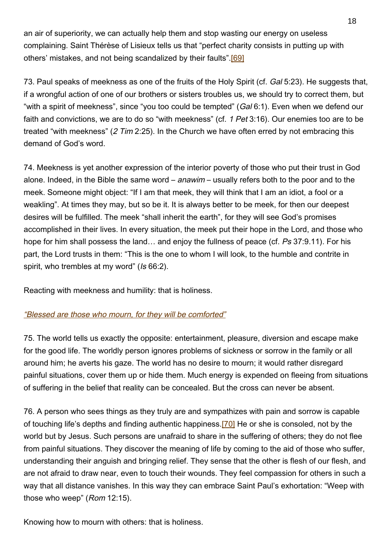an air of superiority, we can actually help them and stop wasting our energy on useless complaining. Saint Thérèse of Lisieux tells us that "perfect charity consists in putting up with others' mistakes, and not being scandalized by their faults".[69]

73. Paul speaks of meekness as one of the fruits of the Holy Spirit (cf. Gal 5:23). He suggests that, if a wrongful action of one of our brothers or sisters troubles us, we should try to correct them, but "with a spirit of meekness", since "you too could be tempted" (Gal 6:1). Even when we defend our faith and convictions, we are to do so "with meekness" (cf. 1 Pet 3:16). Our enemies too are to be treated "with meekness" (2 Tim 2:25). In the Church we have often erred by not embracing this demand of God's word.

74. Meekness is yet another expression of the interior poverty of those who put their trust in God alone. Indeed, in the Bible the same word –  $anawim$  – usually refers both to the poor and to the meek. Someone might object: "If I am that meek, they will think that I am an idiot, a fool or a weakling". At times they may, but so be it. It is always better to be meek, for then our deepest desires will be fulfilled. The meek "shall inherit the earth", for they will see God's promises accomplished in their lives. In every situation, the meek put their hope in the Lord, and those who hope for him shall possess the land... and enjoy the fullness of peace (cf. Ps 37:9.11). For his part, the Lord trusts in them: "This is the one to whom I will look, to the humble and contrite in spirit, who trembles at my word" (Is 66:2).

Reacting with meekness and humility: that is holiness.

### <span id="page-17-0"></span>"Blessed are those who mourn, for they will be comforted"

75. The world tells us exactly the opposite: entertainment, pleasure, diversion and escape make for the good life. The worldly person ignores problems of sickness or sorrow in the family or all around him; he averts his gaze. The world has no desire to mourn; it would rather disregard painful situations, cover them up or hide them. Much energy is expended on fleeing from situations of suffering in the belief that reality can be concealed. But the cross can never be absent.

76. A person who sees things as they truly are and sympathizes with pain and sorrow is capable of touching life's depths and finding authentic happiness.[70] He or she is consoled, not by the world but by Jesus. Such persons are unafraid to share in the suffering of others; they do not flee from painful situations. They discover the meaning of life by coming to the aid of those who suffer, understanding their anguish and bringing relief. They sense that the other is flesh of our flesh, and are not afraid to draw near, even to touch their wounds. They feel compassion for others in such a way that all distance vanishes. In this way they can embrace Saint Paul's exhortation: "Weep with those who weep" (Rom 12:15).

Knowing how to mourn with others: that is holiness.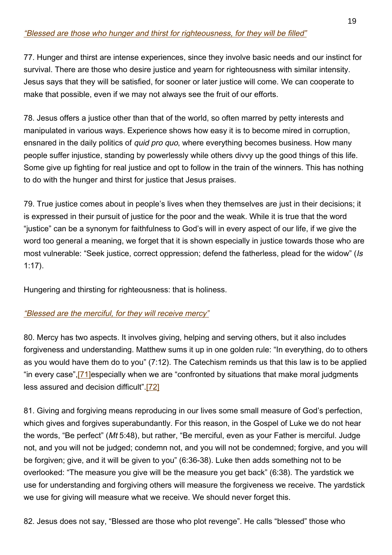# <span id="page-18-0"></span>"Blessed are those who hunger and thirst for righteousness, for they will be filled"

77. Hunger and thirst are intense experiences, since they involve basic needs and our instinct for survival. There are those who desire justice and yearn for righteousness with similar intensity. Jesus says that they will be satisfied, for sooner or later justice will come. We can cooperate to make that possible, even if we may not always see the fruit of our efforts.

78. Jesus offers a justice other than that of the world, so often marred by petty interests and manipulated in various ways. Experience shows how easy it is to become mired in corruption, ensnared in the daily politics of *quid pro quo*, where everything becomes business. How many people suffer injustice, standing by powerlessly while others divvy up the good things of this life. Some give up fighting for real justice and opt to follow in the train of the winners. This has nothing to do with the hunger and thirst for justice that Jesus praises.

79. True justice comes about in people's lives when they themselves are just in their decisions; it is expressed in their pursuit of justice for the poor and the weak. While it is true that the word "justice" can be a synonym for faithfulness to God's will in every aspect of our life, if we give the word too general a meaning, we forget that it is shown especially in justice towards those who are most vulnerable: "Seek justice, correct oppression; defend the fatherless, plead for the widow" (Is 1:17).

Hungering and thirsting for righteousness: that is holiness.

# <span id="page-18-1"></span>"Blessed are the merciful, for they will receive mercy"

80. Mercy has two aspects. It involves giving, helping and serving others, but it also includes forgiveness and understanding. Matthew sums it up in one golden rule: "In everything, do to others as you would have them do to you" (7:12). The Catechism reminds us that this law is to be applied "in every case",[71]especially when we are "confronted by situations that make moral judgments less assured and decision difficult".[72]

81. Giving and forgiving means reproducing in our lives some small measure of God's perfection, which gives and forgives superabundantly. For this reason, in the Gospel of Luke we do not hear the words, "Be perfect" (Mt 5:48), but rather, "Be merciful, even as your Father is merciful. Judge not, and you will not be judged; condemn not, and you will not be condemned; forgive, and you will be forgiven; give, and it will be given to you" (6:36-38). Luke then adds something not to be overlooked: "The measure you give will be the measure you get back" (6:38). The yardstick we use for understanding and forgiving others will measure the forgiveness we receive. The yardstick we use for giving will measure what we receive. We should never forget this.

82. Jesus does not say, "Blessed are those who plot revenge". He calls "blessed" those who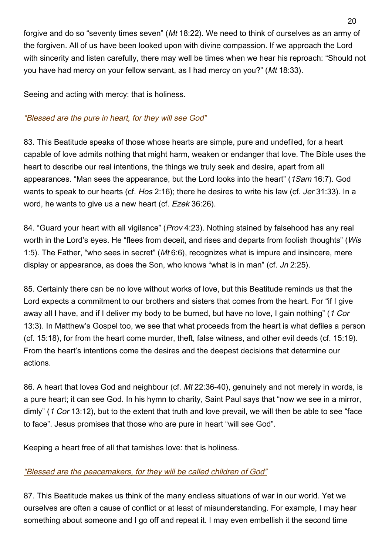forgive and do so "seventy times seven" (Mt 18:22). We need to think of ourselves as an army of the forgiven. All of us have been looked upon with divine compassion. If we approach the Lord with sincerity and listen carefully, there may well be times when we hear his reproach: "Should not you have had mercy on your fellow servant, as I had mercy on you?" (Mt 18:33).

Seeing and acting with mercy: that is holiness.

# <span id="page-19-0"></span>"Blessed are the pure in heart, for they will see God"

83. This Beatitude speaks of those whose hearts are simple, pure and undefiled, for a heart capable of love admits nothing that might harm, weaken or endanger that love. The Bible uses the heart to describe our real intentions, the things we truly seek and desire, apart from all appearances. "Man sees the appearance, but the Lord looks into the heart" (1Sam 16:7). God wants to speak to our hearts (cf. Hos 2:16); there he desires to write his law (cf. Jer 31:33). In a word, he wants to give us a new heart (cf. Ezek 36:26).

84. "Guard your heart with all vigilance" (Prov 4:23). Nothing stained by falsehood has any real worth in the Lord's eyes. He "flees from deceit, and rises and departs from foolish thoughts" (Wis 1:5). The Father, "who sees in secret" (Mt 6:6), recognizes what is impure and insincere, mere display or appearance, as does the Son, who knows "what is in man" (cf. Jn 2:25).

85. Certainly there can be no love without works of love, but this Beatitude reminds us that the Lord expects a commitment to our brothers and sisters that comes from the heart. For "if I give away all I have, and if I deliver my body to be burned, but have no love, I gain nothing" (1 Cor 13:3). In Matthew's Gospel too, we see that what proceeds from the heart is what defiles a person (cf. 15:18), for from the heart come murder, theft, false witness, and other evil deeds (cf. 15:19). From the heart's intentions come the desires and the deepest decisions that determine our actions.

86. A heart that loves God and neighbour (cf. Mt 22:36-40), genuinely and not merely in words, is a pure heart; it can see God. In his hymn to charity, Saint Paul says that "now we see in a mirror, dimly" (1 Cor 13:12), but to the extent that truth and love prevail, we will then be able to see "face" to face". Jesus promises that those who are pure in heart "will see God".

Keeping a heart free of all that tarnishes love: that is holiness.

# <span id="page-19-1"></span>"Blessed are the peacemakers, for they will be called children of God"

87. This Beatitude makes us think of the many endless situations of war in our world. Yet we ourselves are often a cause of conflict or at least of misunderstanding. For example, I may hear something about someone and I go off and repeat it. I may even embellish it the second time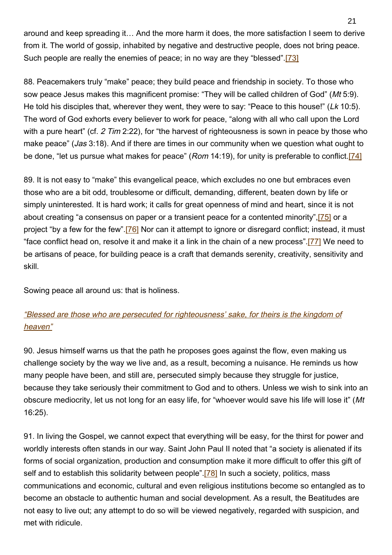around and keep spreading it… And the more harm it does, the more satisfaction I seem to derive from it. The world of gossip, inhabited by negative and destructive people, does not bring peace. Such people are really the enemies of peace; in no way are they "blessed".[73]

88. Peacemakers truly "make" peace; they build peace and friendship in society. To those who sow peace Jesus makes this magnificent promise: "They will be called children of God" (Mt 5:9). He told his disciples that, wherever they went, they were to say: "Peace to this house!" (Lk 10:5). The word of God exhorts every believer to work for peace, "along with all who call upon the Lord with a pure heart" (cf. 2 Tim 2:22), for "the harvest of righteousness is sown in peace by those who make peace" (*Jas* 3:18). And if there are times in our community when we question what ought to be done, "let us pursue what makes for peace" (Rom 14:19), for unity is preferable to conflict.[74]

89. It is not easy to "make" this evangelical peace, which excludes no one but embraces even those who are a bit odd, troublesome or difficult, demanding, different, beaten down by life or simply uninterested. It is hard work; it calls for great openness of mind and heart, since it is not about creating "a consensus on paper or a transient peace for a contented minority",[75] or a project "by a few for the few".<sup>[76]</sup> Nor can it attempt to ignore or disregard conflict; instead, it must "face conflict head on, resolve it and make it a link in the chain of a new process".[77] We need to be artisans of peace, for building peace is a craft that demands serenity, creativity, sensitivity and skill.

Sowing peace all around us: that is holiness.

# <span id="page-20-0"></span>"Blessed are those who are persecuted for righteousness' sake, for theirs is the kingdom of heaven"

90. Jesus himself warns us that the path he proposes goes against the flow, even making us challenge society by the way we live and, as a result, becoming a nuisance. He reminds us how many people have been, and still are, persecuted simply because they struggle for justice, because they take seriously their commitment to God and to others. Unless we wish to sink into an obscure mediocrity, let us not long for an easy life, for "whoever would save his life will lose it" (Mt 16:25).

91. In living the Gospel, we cannot expect that everything will be easy, for the thirst for power and worldly interests often stands in our way. Saint John Paul II noted that "a society is alienated if its forms of social organization, production and consumption make it more difficult to offer this gift of self and to establish this solidarity between people".[78] In such a society, politics, mass communications and economic, cultural and even religious institutions become so entangled as to become an obstacle to authentic human and social development. As a result, the Beatitudes are not easy to live out; any attempt to do so will be viewed negatively, regarded with suspicion, and met with ridicule.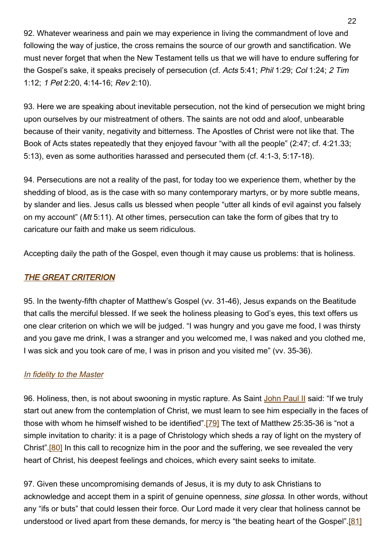92. Whatever weariness and pain we may experience in living the commandment of love and following the way of justice, the cross remains the source of our growth and sanctification. We must never forget that when the New Testament tells us that we will have to endure suffering for the Gospel's sake, it speaks precisely of persecution (cf. Acts 5:41; Phil 1:29; Col 1:24; 2 Tim 1:12; 1 Pet 2:20, 4:14-16; Rev 2:10).

93. Here we are speaking about inevitable persecution, not the kind of persecution we might bring upon ourselves by our mistreatment of others. The saints are not odd and aloof, unbearable because of their vanity, negativity and bitterness. The Apostles of Christ were not like that. The Book of Acts states repeatedly that they enjoyed favour "with all the people" (2:47; cf. 4:21.33; 5:13), even as some authorities harassed and persecuted them (cf. 4:1-3, 5:17-18).

94. Persecutions are not a reality of the past, for today too we experience them, whether by the shedding of blood, as is the case with so many contemporary martyrs, or by more subtle means, by slander and lies. Jesus calls us blessed when people "utter all kinds of evil against you falsely on my account" (Mt 5:11). At other times, persecution can take the form of gibes that try to caricature our faith and make us seem ridiculous.

Accepting daily the path of the Gospel, even though it may cause us problems: that is holiness.

# <span id="page-21-0"></span>**THE GREAT CRITERION**

95. In the twenty-fifth chapter of Matthew's Gospel (vv. 31-46), Jesus expands on the Beatitude that calls the merciful blessed. If we seek the holiness pleasing to God's eyes, this text offers us one clear criterion on which we will be judged. "I was hungry and you gave me food, I was thirsty and you gave me drink, I was a stranger and you welcomed me, I was naked and you clothed me, I was sick and you took care of me, I was in prison and you visited me" (vv. 35-36).

### <span id="page-21-1"></span>In fidelity to the Master

96. Holiness, then, is not about swooning in mystic rapture. As Saint [John Paul II](http://w2.vatican.va/content/john-paul-ii/en.html) said: "If we truly start out anew from the contemplation of Christ, we must learn to see him especially in the faces of those with whom he himself wished to be identified".[79] The text of Matthew 25:35-36 is "not a simple invitation to charity: it is a page of Christology which sheds a ray of light on the mystery of Christ".[80] In this call to recognize him in the poor and the suffering, we see revealed the very heart of Christ, his deepest feelings and choices, which every saint seeks to imitate.

97. Given these uncompromising demands of Jesus, it is my duty to ask Christians to acknowledge and accept them in a spirit of genuine openness, sine glossa. In other words, without any "ifs or buts" that could lessen their force. Our Lord made it very clear that holiness cannot be understood or lived apart from these demands, for mercy is "the beating heart of the Gospel".[81]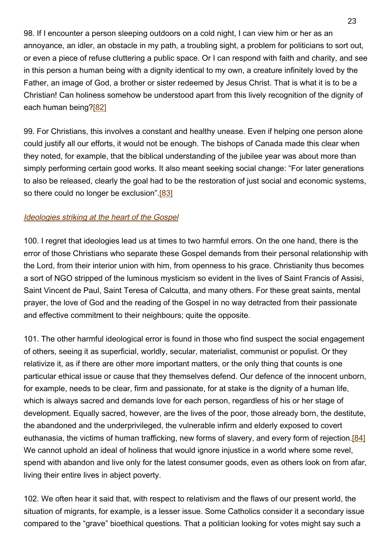98. If I encounter a person sleeping outdoors on a cold night, I can view him or her as an annoyance, an idler, an obstacle in my path, a troubling sight, a problem for politicians to sort out, or even a piece of refuse cluttering a public space. Or I can respond with faith and charity, and see in this person a human being with a dignity identical to my own, a creature infinitely loved by the Father, an image of God, a brother or sister redeemed by Jesus Christ. That is what it is to be a Christian! Can holiness somehow be understood apart from this lively recognition of the dignity of each human being?[82]

99. For Christians, this involves a constant and healthy unease. Even if helping one person alone could justify all our efforts, it would not be enough. The bishops of Canada made this clear when they noted, for example, that the biblical understanding of the jubilee year was about more than simply performing certain good works. It also meant seeking social change: "For later generations to also be released, clearly the goal had to be the restoration of just social and economic systems, so there could no longer be exclusion".[83]

#### <span id="page-22-0"></span>Ideologies striking at the heart of the Gospel

100. I regret that ideologies lead us at times to two harmful errors. On the one hand, there is the error of those Christians who separate these Gospel demands from their personal relationship with the Lord, from their interior union with him, from openness to his grace. Christianity thus becomes a sort of NGO stripped of the luminous mysticism so evident in the lives of Saint Francis of Assisi, Saint Vincent de Paul, Saint Teresa of Calcutta, and many others. For these great saints, mental prayer, the love of God and the reading of the Gospel in no way detracted from their passionate and effective commitment to their neighbours; quite the opposite.

101. The other harmful ideological error is found in those who find suspect the social engagement of others, seeing it as superficial, worldly, secular, materialist, communist or populist. Or they relativize it, as if there are other more important matters, or the only thing that counts is one particular ethical issue or cause that they themselves defend. Our defence of the innocent unborn, for example, needs to be clear, firm and passionate, for at stake is the dignity of a human life, which is always sacred and demands love for each person, regardless of his or her stage of development. Equally sacred, however, are the lives of the poor, those already born, the destitute, the abandoned and the underprivileged, the vulnerable infirm and elderly exposed to covert euthanasia, the victims of human trafficking, new forms of slavery, and every form of rejection.[84] We cannot uphold an ideal of holiness that would ignore injustice in a world where some revel, spend with abandon and live only for the latest consumer goods, even as others look on from afar, living their entire lives in abject poverty.

102. We often hear it said that, with respect to relativism and the flaws of our present world, the situation of migrants, for example, is a lesser issue. Some Catholics consider it a secondary issue compared to the "grave" bioethical questions. That a politician looking for votes might say such a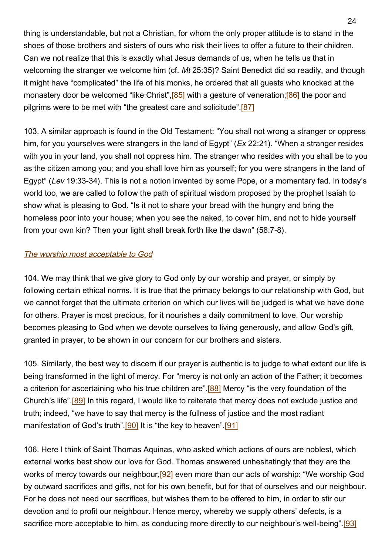thing is understandable, but not a Christian, for whom the only proper attitude is to stand in the shoes of those brothers and sisters of ours who risk their lives to offer a future to their children. Can we not realize that this is exactly what Jesus demands of us, when he tells us that in welcoming the stranger we welcome him (cf. Mt 25:35)? Saint Benedict did so readily, and though it might have "complicated" the life of his monks, he ordered that all guests who knocked at the monastery door be welcomed "like Christ", [85] with a gesture of veneration; [86] the poor and pilgrims were to be met with "the greatest care and solicitude".[87]

103. A similar approach is found in the Old Testament: "You shall not wrong a stranger or oppress him, for you yourselves were strangers in the land of Egypt" (Ex 22:21). "When a stranger resides with you in your land, you shall not oppress him. The stranger who resides with you shall be to you as the citizen among you; and you shall love him as yourself; for you were strangers in the land of Egypt" (Lev 19:33-34). This is not a notion invented by some Pope, or a momentary fad. In today's world too, we are called to follow the path of spiritual wisdom proposed by the prophet Isaiah to show what is pleasing to God. "Is it not to share your bread with the hungry and bring the homeless poor into your house; when you see the naked, to cover him, and not to hide yourself from your own kin? Then your light shall break forth like the dawn" (58:7-8).

#### <span id="page-23-0"></span>The worship most acceptable to God

104. We may think that we give glory to God only by our worship and prayer, or simply by following certain ethical norms. It is true that the primacy belongs to our relationship with God, but we cannot forget that the ultimate criterion on which our lives will be judged is what we have done for others. Prayer is most precious, for it nourishes a daily commitment to love. Our worship becomes pleasing to God when we devote ourselves to living generously, and allow God's gift, granted in prayer, to be shown in our concern for our brothers and sisters.

105. Similarly, the best way to discern if our prayer is authentic is to judge to what extent our life is being transformed in the light of mercy. For "mercy is not only an action of the Father; it becomes a criterion for ascertaining who his true children are".<sup>[88]</sup> Mercy "is the very foundation of the Church's life".[89] In this regard, I would like to reiterate that mercy does not exclude justice and truth; indeed, "we have to say that mercy is the fullness of justice and the most radiant manifestation of God's truth".<sup>[90]</sup> It is "the key to heaven".<sup>[91]</sup>

106. Here I think of Saint Thomas Aquinas, who asked which actions of ours are noblest, which external works best show our love for God. Thomas answered unhesitatingly that they are the works of mercy towards our neighbour, [92] even more than our acts of worship: "We worship God by outward sacrifices and gifts, not for his own benefit, but for that of ourselves and our neighbour. For he does not need our sacrifices, but wishes them to be offered to him, in order to stir our devotion and to profit our neighbour. Hence mercy, whereby we supply others' defects, is a sacrifice more acceptable to him, as conducing more directly to our neighbour's well-being".[93]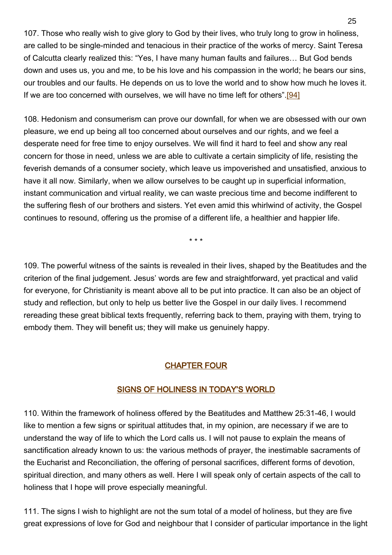107. Those who really wish to give glory to God by their lives, who truly long to grow in holiness, are called to be single-minded and tenacious in their practice of the works of mercy. Saint Teresa of Calcutta clearly realized this: "Yes, I have many human faults and failures… But God bends down and uses us, you and me, to be his love and his compassion in the world; he bears our sins, our troubles and our faults. He depends on us to love the world and to show how much he loves it. If we are too concerned with ourselves, we will have no time left for others".[94]

108. Hedonism and consumerism can prove our downfall, for when we are obsessed with our own pleasure, we end up being all too concerned about ourselves and our rights, and we feel a desperate need for free time to enjoy ourselves. We will find it hard to feel and show any real concern for those in need, unless we are able to cultivate a certain simplicity of life, resisting the feverish demands of a consumer society, which leave us impoverished and unsatisfied, anxious to have it all now. Similarly, when we allow ourselves to be caught up in superficial information, instant communication and virtual reality, we can waste precious time and become indifferent to the suffering flesh of our brothers and sisters. Yet even amid this whirlwind of activity, the Gospel continues to resound, offering us the promise of a different life, a healthier and happier life.

\* \* \*

109. The powerful witness of the saints is revealed in their lives, shaped by the Beatitudes and the criterion of the final judgement. Jesus' words are few and straightforward, yet practical and valid for everyone, for Christianity is meant above all to be put into practice. It can also be an object of study and reflection, but only to help us better live the Gospel in our daily lives. I recommend rereading these great biblical texts frequently, referring back to them, praying with them, trying to embody them. They will benefit us; they will make us genuinely happy.

### <span id="page-24-0"></span>CHAPTER FOUR

#### <span id="page-24-1"></span>SIGNS OF HOLINESS IN TODAY'S WORLD

110. Within the framework of holiness offered by the Beatitudes and Matthew 25:31-46, I would like to mention a few signs or spiritual attitudes that, in my opinion, are necessary if we are to understand the way of life to which the Lord calls us. I will not pause to explain the means of sanctification already known to us: the various methods of prayer, the inestimable sacraments of the Eucharist and Reconciliation, the offering of personal sacrifices, different forms of devotion, spiritual direction, and many others as well. Here I will speak only of certain aspects of the call to holiness that I hope will prove especially meaningful.

111. The signs I wish to highlight are not the sum total of a model of holiness, but they are five great expressions of love for God and neighbour that I consider of particular importance in the light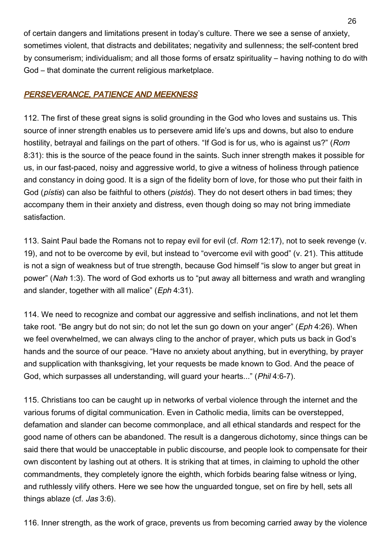of certain dangers and limitations present in today's culture. There we see a sense of anxiety, sometimes violent, that distracts and debilitates; negativity and sullenness; the self-content bred by consumerism; individualism; and all those forms of ersatz spirituality – having nothing to do with God – that dominate the current religious marketplace.

### <span id="page-25-0"></span>PERSEVERANCE, PATIENCE AND MEEKNESS

112. The first of these great signs is solid grounding in the God who loves and sustains us. This source of inner strength enables us to persevere amid life's ups and downs, but also to endure hostility, betrayal and failings on the part of others. "If God is for us, who is against us?" (Rom 8:31): this is the source of the peace found in the saints. Such inner strength makes it possible for us, in our fast-paced, noisy and aggressive world, to give a witness of holiness through patience and constancy in doing good. It is a sign of the fidelity born of love, for those who put their faith in God (*pístis*) can also be faithful to others (*pistós*). They do not desert others in bad times; they accompany them in their anxiety and distress, even though doing so may not bring immediate satisfaction.

113. Saint Paul bade the Romans not to repay evil for evil (cf. Rom 12:17), not to seek revenge (v. 19), and not to be overcome by evil, but instead to "overcome evil with good" (v. 21). This attitude is not a sign of weakness but of true strength, because God himself "is slow to anger but great in power" (Nah 1:3). The word of God exhorts us to "put away all bitterness and wrath and wrangling and slander, together with all malice" (Eph 4:31).

114. We need to recognize and combat our aggressive and selfish inclinations, and not let them take root. "Be angry but do not sin; do not let the sun go down on your anger" (*Eph* 4:26). When we feel overwhelmed, we can always cling to the anchor of prayer, which puts us back in God's hands and the source of our peace. "Have no anxiety about anything, but in everything, by prayer and supplication with thanksgiving, let your requests be made known to God. And the peace of God, which surpasses all understanding, will guard your hearts..." (Phil 4:6-7).

115. Christians too can be caught up in networks of verbal violence through the internet and the various forums of digital communication. Even in Catholic media, limits can be overstepped, defamation and slander can become commonplace, and all ethical standards and respect for the good name of others can be abandoned. The result is a dangerous dichotomy, since things can be said there that would be unacceptable in public discourse, and people look to compensate for their own discontent by lashing out at others. It is striking that at times, in claiming to uphold the other commandments, they completely ignore the eighth, which forbids bearing false witness or lying, and ruthlessly vilify others. Here we see how the unguarded tongue, set on fire by hell, sets all things ablaze (cf. Jas 3:6).

116. Inner strength, as the work of grace, prevents us from becoming carried away by the violence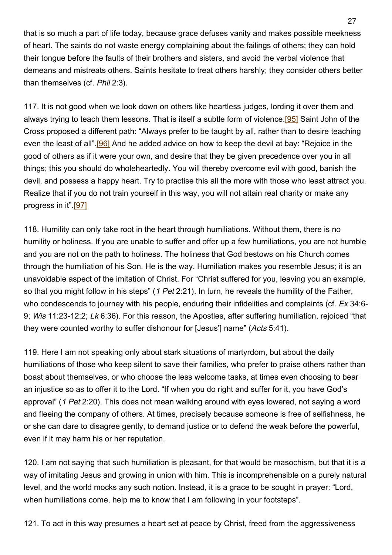that is so much a part of life today, because grace defuses vanity and makes possible meekness of heart. The saints do not waste energy complaining about the failings of others; they can hold their tongue before the faults of their brothers and sisters, and avoid the verbal violence that demeans and mistreats others. Saints hesitate to treat others harshly; they consider others better than themselves (cf. Phil 2:3).

117. It is not good when we look down on others like heartless judges, lording it over them and always trying to teach them lessons. That is itself a subtle form of violence.[95] Saint John of the Cross proposed a different path: "Always prefer to be taught by all, rather than to desire teaching even the least of all".[96] And he added advice on how to keep the devil at bay: "Rejoice in the good of others as if it were your own, and desire that they be given precedence over you in all things; this you should do wholeheartedly. You will thereby overcome evil with good, banish the devil, and possess a happy heart. Try to practise this all the more with those who least attract you. Realize that if you do not train yourself in this way, you will not attain real charity or make any progress in it".[97]

118. Humility can only take root in the heart through humiliations. Without them, there is no humility or holiness. If you are unable to suffer and offer up a few humiliations, you are not humble and you are not on the path to holiness. The holiness that God bestows on his Church comes through the humiliation of his Son. He is the way. Humiliation makes you resemble Jesus; it is an unavoidable aspect of the imitation of Christ. For "Christ suffered for you, leaving you an example, so that you might follow in his steps" (1 Pet 2:21). In turn, he reveals the humility of the Father, who condescends to journey with his people, enduring their infidelities and complaints (cf. Ex 34:6-9; Wis 11:23-12:2; Lk 6:36). For this reason, the Apostles, after suffering humiliation, rejoiced "that they were counted worthy to suffer dishonour for [Jesus'] name" (Acts 5:41).

119. Here I am not speaking only about stark situations of martyrdom, but about the daily humiliations of those who keep silent to save their families, who prefer to praise others rather than boast about themselves, or who choose the less welcome tasks, at times even choosing to bear an injustice so as to offer it to the Lord. "If when you do right and suffer for it, you have God's approval" (1 Pet 2:20). This does not mean walking around with eyes lowered, not saying a word and fleeing the company of others. At times, precisely because someone is free of selfishness, he or she can dare to disagree gently, to demand justice or to defend the weak before the powerful, even if it may harm his or her reputation.

120. I am not saying that such humiliation is pleasant, for that would be masochism, but that it is a way of imitating Jesus and growing in union with him. This is incomprehensible on a purely natural level, and the world mocks any such notion. Instead, it is a grace to be sought in prayer: "Lord, when humiliations come, help me to know that I am following in your footsteps".

121. To act in this way presumes a heart set at peace by Christ, freed from the aggressiveness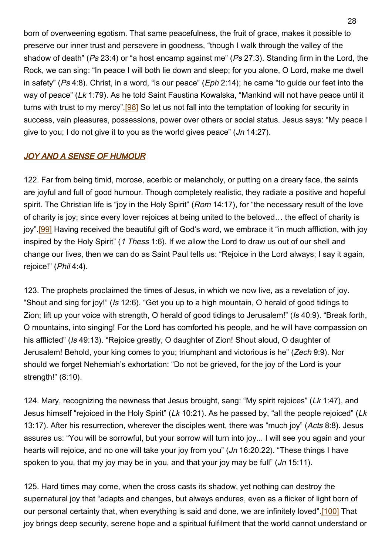born of overweening egotism. That same peacefulness, the fruit of grace, makes it possible to preserve our inner trust and persevere in goodness, "though I walk through the valley of the shadow of death" (Ps 23:4) or "a host encamp against me" (Ps 27:3). Standing firm in the Lord, the Rock, we can sing: "In peace I will both lie down and sleep; for you alone, O Lord, make me dwell in safety" (Ps 4:8). Christ, in a word, "is our peace" ( $Eph$  2:14); he came "to guide our feet into the way of peace" (Lk 1:79). As he told Saint Faustina Kowalska, "Mankind will not have peace until it turns with trust to my mercy".<sup>[98]</sup> So let us not fall into the temptation of looking for security in success, vain pleasures, possessions, power over others or social status. Jesus says: "My peace I give to you; I do not give it to you as the world gives peace" (Jn 14:27).

#### <span id="page-27-0"></span>JOY AND A SENSE OF HUMOUR

122. Far from being timid, morose, acerbic or melancholy, or putting on a dreary face, the saints are joyful and full of good humour. Though completely realistic, they radiate a positive and hopeful spirit. The Christian life is "joy in the Holy Spirit" (Rom 14:17), for "the necessary result of the love of charity is joy; since every lover rejoices at being united to the beloved… the effect of charity is joy".<sup>[99]</sup> Having received the beautiful gift of God's word, we embrace it "in much affliction, with joy inspired by the Holy Spirit" (1 Thess 1:6). If we allow the Lord to draw us out of our shell and change our lives, then we can do as Saint Paul tells us: "Rejoice in the Lord always; I say it again, rejoice!" (Phil 4:4).

123. The prophets proclaimed the times of Jesus, in which we now live, as a revelation of joy. "Shout and sing for joy!" (Is 12:6). "Get you up to a high mountain, O herald of good tidings to Zion; lift up your voice with strength, O herald of good tidings to Jerusalem!" (Is 40:9). "Break forth, O mountains, into singing! For the Lord has comforted his people, and he will have compassion on his afflicted" (Is 49:13). "Rejoice greatly, O daughter of Zion! Shout aloud, O daughter of Jerusalem! Behold, your king comes to you; triumphant and victorious is he" (Zech 9:9). Nor should we forget Nehemiah's exhortation: "Do not be grieved, for the joy of the Lord is your strength!" (8:10).

124. Mary, recognizing the newness that Jesus brought, sang: "My spirit rejoices" (Lk 1:47), and Jesus himself "rejoiced in the Holy Spirit" (Lk 10:21). As he passed by, "all the people rejoiced" (Lk 13:17). After his resurrection, wherever the disciples went, there was "much joy" (Acts 8:8). Jesus assures us: "You will be sorrowful, but your sorrow will turn into joy... I will see you again and your hearts will rejoice, and no one will take your joy from you" (*Jn* 16:20.22). "These things I have spoken to you, that my joy may be in you, and that your joy may be full" (*Jn* 15:11).

125. Hard times may come, when the cross casts its shadow, yet nothing can destroy the supernatural joy that "adapts and changes, but always endures, even as a flicker of light born of our personal certainty that, when everything is said and done, we are infinitely loved".[100] That joy brings deep security, serene hope and a spiritual fulfilment that the world cannot understand or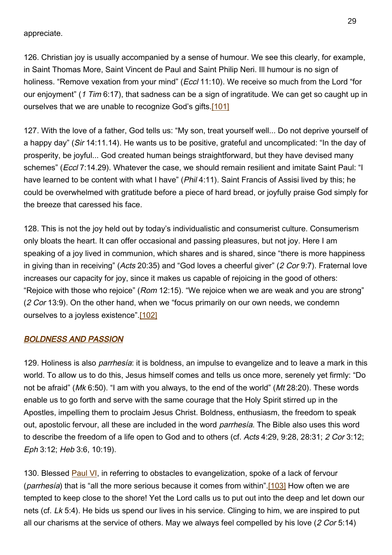appreciate.

126. Christian joy is usually accompanied by a sense of humour. We see this clearly, for example, in Saint Thomas More, Saint Vincent de Paul and Saint Philip Neri. Ill humour is no sign of holiness. "Remove vexation from your mind" (*Eccl* 11:10). We receive so much from the Lord "for our enjoyment" (1 Tim 6:17), that sadness can be a sign of ingratitude. We can get so caught up in ourselves that we are unable to recognize God's gifts.[101]

127. With the love of a father, God tells us: "My son, treat yourself well... Do not deprive yourself of a happy day" (Sir 14:11.14). He wants us to be positive, grateful and uncomplicated: "In the day of prosperity, be joyful... God created human beings straightforward, but they have devised many schemes" (*Eccl* 7:14.29). Whatever the case, we should remain resilient and imitate Saint Paul: "I have learned to be content with what I have" (*Phil* 4:11). Saint Francis of Assisi lived by this; he could be overwhelmed with gratitude before a piece of hard bread, or joyfully praise God simply for the breeze that caressed his face.

128. This is not the joy held out by today's individualistic and consumerist culture. Consumerism only bloats the heart. It can offer occasional and passing pleasures, but not joy. Here I am speaking of a joy lived in communion, which shares and is shared, since "there is more happiness in giving than in receiving" (Acts 20:35) and "God loves a cheerful giver" (2 Cor 9:7). Fraternal love increases our capacity for joy, since it makes us capable of rejoicing in the good of others: "Rejoice with those who rejoice" (Rom 12:15). "We rejoice when we are weak and you are strong" (2 Cor 13:9). On the other hand, when we "focus primarily on our own needs, we condemn ourselves to a joyless existence".[102]

### <span id="page-28-0"></span>BOLDNESS AND PASSION

129. Holiness is also *parrhesía*: it is boldness, an impulse to evangelize and to leave a mark in this world. To allow us to do this, Jesus himself comes and tells us once more, serenely yet firmly: "Do not be afraid" (Mk 6:50). "I am with you always, to the end of the world" (Mt 28:20). These words enable us to go forth and serve with the same courage that the Holy Spirit stirred up in the Apostles, impelling them to proclaim Jesus Christ. Boldness, enthusiasm, the freedom to speak out, apostolic fervour, all these are included in the word parrhesía. The Bible also uses this word to describe the freedom of a life open to God and to others (cf. Acts 4:29, 9:28, 28:31; 2 Cor 3:12; Eph 3:12; Heb 3:6, 10:19).

130. Blessed [Paul VI](http://w2.vatican.va/content/paul-vi/en.html), in referring to obstacles to evangelization, spoke of a lack of fervour (*parrhesía*) that is "all the more serious because it comes from within".[103] How often we are tempted to keep close to the shore! Yet the Lord calls us to put out into the deep and let down our nets (cf. Lk 5:4). He bids us spend our lives in his service. Clinging to him, we are inspired to put all our charisms at the service of others. May we always feel compelled by his love (2 Cor 5:14)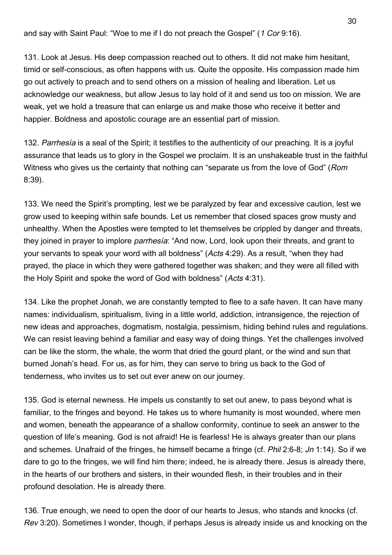and say with Saint Paul: "Woe to me if I do not preach the Gospel" (1 Cor 9:16).

131. Look at Jesus. His deep compassion reached out to others. It did not make him hesitant, timid or self-conscious, as often happens with us. Quite the opposite. His compassion made him go out actively to preach and to send others on a mission of healing and liberation. Let us acknowledge our weakness, but allow Jesus to lay hold of it and send us too on mission. We are weak, yet we hold a treasure that can enlarge us and make those who receive it better and happier. Boldness and apostolic courage are an essential part of mission.

132. Parrhesía is a seal of the Spirit; it testifies to the authenticity of our preaching. It is a joyful assurance that leads us to glory in the Gospel we proclaim. It is an unshakeable trust in the faithful Witness who gives us the certainty that nothing can "separate us from the love of God" (Rom 8:39).

133. We need the Spirit's prompting, lest we be paralyzed by fear and excessive caution, lest we grow used to keeping within safe bounds. Let us remember that closed spaces grow musty and unhealthy. When the Apostles were tempted to let themselves be crippled by danger and threats, they joined in prayer to implore parrhesía: "And now, Lord, look upon their threats, and grant to your servants to speak your word with all boldness" (Acts 4:29). As a result, "when they had prayed, the place in which they were gathered together was shaken; and they were all filled with the Holy Spirit and spoke the word of God with boldness" (Acts 4:31).

134. Like the prophet Jonah, we are constantly tempted to flee to a safe haven. It can have many names: individualism, spiritualism, living in a little world, addiction, intransigence, the rejection of new ideas and approaches, dogmatism, nostalgia, pessimism, hiding behind rules and regulations. We can resist leaving behind a familiar and easy way of doing things. Yet the challenges involved can be like the storm, the whale, the worm that dried the gourd plant, or the wind and sun that burned Jonah's head. For us, as for him, they can serve to bring us back to the God of tenderness, who invites us to set out ever anew on our journey.

135. God is eternal newness. He impels us constantly to set out anew, to pass beyond what is familiar, to the fringes and beyond. He takes us to where humanity is most wounded, where men and women, beneath the appearance of a shallow conformity, continue to seek an answer to the question of life's meaning. God is not afraid! He is fearless! He is always greater than our plans and schemes. Unafraid of the fringes, he himself became a fringe (cf. Phil 2:6-8; Jn 1:14). So if we dare to go to the fringes, we will find him there; indeed, he is already there. Jesus is already there, in the hearts of our brothers and sisters, in their wounded flesh, in their troubles and in their profound desolation. He is already there.

136. True enough, we need to open the door of our hearts to Jesus, who stands and knocks (cf. Rev 3:20). Sometimes I wonder, though, if perhaps Jesus is already inside us and knocking on the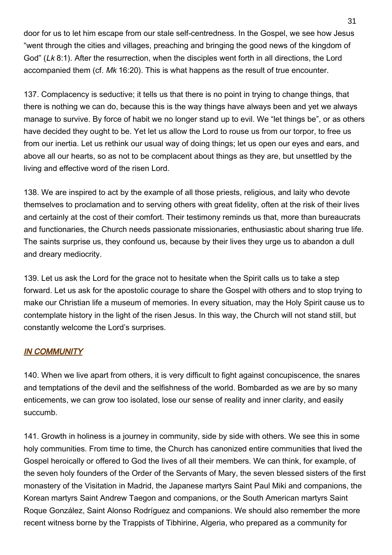door for us to let him escape from our stale self-centredness. In the Gospel, we see how Jesus "went through the cities and villages, preaching and bringing the good news of the kingdom of God" (Lk 8:1). After the resurrection, when the disciples went forth in all directions, the Lord accompanied them (cf. Mk 16:20). This is what happens as the result of true encounter.

137. Complacency is seductive; it tells us that there is no point in trying to change things, that there is nothing we can do, because this is the way things have always been and yet we always manage to survive. By force of habit we no longer stand up to evil. We "let things be", or as others have decided they ought to be. Yet let us allow the Lord to rouse us from our torpor, to free us from our inertia. Let us rethink our usual way of doing things; let us open our eyes and ears, and above all our hearts, so as not to be complacent about things as they are, but unsettled by the living and effective word of the risen Lord.

138. We are inspired to act by the example of all those priests, religious, and laity who devote themselves to proclamation and to serving others with great fidelity, often at the risk of their lives and certainly at the cost of their comfort. Their testimony reminds us that, more than bureaucrats and functionaries, the Church needs passionate missionaries, enthusiastic about sharing true life. The saints surprise us, they confound us, because by their lives they urge us to abandon a dull and dreary mediocrity.

139. Let us ask the Lord for the grace not to hesitate when the Spirit calls us to take a step forward. Let us ask for the apostolic courage to share the Gospel with others and to stop trying to make our Christian life a museum of memories. In every situation, may the Holy Spirit cause us to contemplate history in the light of the risen Jesus. In this way, the Church will not stand still, but constantly welcome the Lord's surprises.

# <span id="page-30-0"></span>IN COMMUNITY

140. When we live apart from others, it is very difficult to fight against concupiscence, the snares and temptations of the devil and the selfishness of the world. Bombarded as we are by so many enticements, we can grow too isolated, lose our sense of reality and inner clarity, and easily succumb.

141. Growth in holiness is a journey in community, side by side with others. We see this in some holy communities. From time to time, the Church has canonized entire communities that lived the Gospel heroically or offered to God the lives of all their members. We can think, for example, of the seven holy founders of the Order of the Servants of Mary, the seven blessed sisters of the first monastery of the Visitation in Madrid, the Japanese martyrs Saint Paul Miki and companions, the Korean martyrs Saint Andrew Taegon and companions, or the South American martyrs Saint Roque González, Saint Alonso Rodríguez and companions. We should also remember the more recent witness borne by the Trappists of Tibhirine, Algeria, who prepared as a community for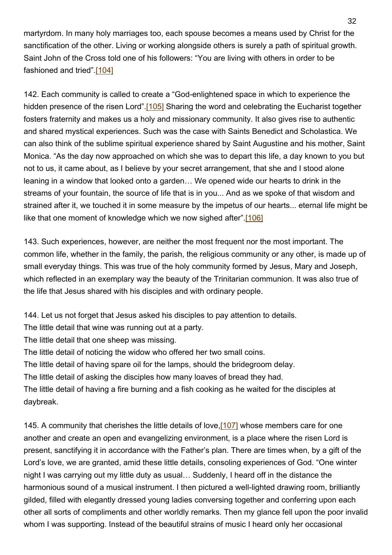martyrdom. In many holy marriages too, each spouse becomes a means used by Christ for the sanctification of the other. Living or working alongside others is surely a path of spiritual growth. Saint John of the Cross told one of his followers: "You are living with others in order to be fashioned and tried".[104]

142. Each community is called to create a "God-enlightened space in which to experience the hidden presence of the risen Lord".<sup>[105]</sup> Sharing the word and celebrating the Eucharist together fosters fraternity and makes us a holy and missionary community. It also gives rise to authentic and shared mystical experiences. Such was the case with Saints Benedict and Scholastica. We can also think of the sublime spiritual experience shared by Saint Augustine and his mother, Saint Monica. "As the day now approached on which she was to depart this life, a day known to you but not to us, it came about, as I believe by your secret arrangement, that she and I stood alone leaning in a window that looked onto a garden… We opened wide our hearts to drink in the streams of your fountain, the source of life that is in you... And as we spoke of that wisdom and strained after it, we touched it in some measure by the impetus of our hearts... eternal life might be like that one moment of knowledge which we now sighed after".[106]

143. Such experiences, however, are neither the most frequent nor the most important. The common life, whether in the family, the parish, the religious community or any other, is made up of small everyday things. This was true of the holy community formed by Jesus, Mary and Joseph, which reflected in an exemplary way the beauty of the Trinitarian communion. It was also true of the life that Jesus shared with his disciples and with ordinary people.

144. Let us not forget that Jesus asked his disciples to pay attention to details.

The little detail that wine was running out at a party.

The little detail that one sheep was missing.

The little detail of noticing the widow who offered her two small coins.

The little detail of having spare oil for the lamps, should the bridegroom delay.

The little detail of asking the disciples how many loaves of bread they had.

The little detail of having a fire burning and a fish cooking as he waited for the disciples at daybreak.

145. A community that cherishes the little details of love, [107] whose members care for one another and create an open and evangelizing environment, is a place where the risen Lord is present, sanctifying it in accordance with the Father's plan. There are times when, by a gift of the Lord's love, we are granted, amid these little details, consoling experiences of God. "One winter night I was carrying out my little duty as usual… Suddenly, I heard off in the distance the harmonious sound of a musical instrument. I then pictured a well-lighted drawing room, brilliantly gilded, filled with elegantly dressed young ladies conversing together and conferring upon each other all sorts of compliments and other worldly remarks. Then my glance fell upon the poor invalid whom I was supporting. Instead of the beautiful strains of music I heard only her occasional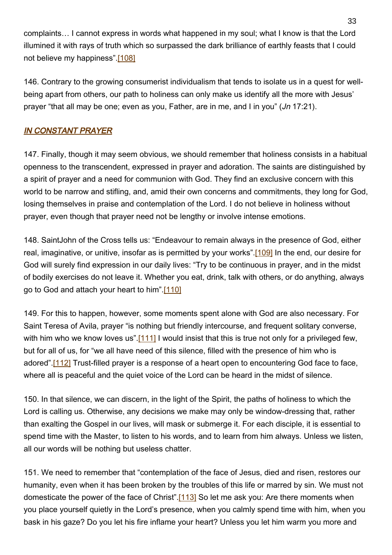complaints… I cannot express in words what happened in my soul; what I know is that the Lord illumined it with rays of truth which so surpassed the dark brilliance of earthly feasts that I could not believe my happiness".[108]

146. Contrary to the growing consumerist individualism that tends to isolate us in a quest for wellbeing apart from others, our path to holiness can only make us identify all the more with Jesus' prayer "that all may be one; even as you, Father, are in me, and I in you" (Jn 17:21).

# <span id="page-32-0"></span>IN CONSTANT PRAYER

147. Finally, though it may seem obvious, we should remember that holiness consists in a habitual openness to the transcendent, expressed in prayer and adoration. The saints are distinguished by a spirit of prayer and a need for communion with God. They find an exclusive concern with this world to be narrow and stifling, and, amid their own concerns and commitments, they long for God, losing themselves in praise and contemplation of the Lord. I do not believe in holiness without prayer, even though that prayer need not be lengthy or involve intense emotions.

148. SaintJohn of the Cross tells us: "Endeavour to remain always in the presence of God, either real, imaginative, or unitive, insofar as is permitted by your works". [109] In the end, our desire for God will surely find expression in our daily lives: "Try to be continuous in prayer, and in the midst of bodily exercises do not leave it. Whether you eat, drink, talk with others, or do anything, always go to God and attach your heart to him".[110]

149. For this to happen, however, some moments spent alone with God are also necessary. For Saint Teresa of Avila, prayer "is nothing but friendly intercourse, and frequent solitary converse, with him who we know loves us".[111] I would insist that this is true not only for a privileged few, but for all of us, for "we all have need of this silence, filled with the presence of him who is adored".[112] Trust-filled prayer is a response of a heart open to encountering God face to face, where all is peaceful and the quiet voice of the Lord can be heard in the midst of silence.

150. In that silence, we can discern, in the light of the Spirit, the paths of holiness to which the Lord is calling us. Otherwise, any decisions we make may only be window-dressing that, rather than exalting the Gospel in our lives, will mask or submerge it. For each disciple, it is essential to spend time with the Master, to listen to his words, and to learn from him always. Unless we listen, all our words will be nothing but useless chatter.

151. We need to remember that "contemplation of the face of Jesus, died and risen, restores our humanity, even when it has been broken by the troubles of this life or marred by sin. We must not domesticate the power of the face of Christ".[113] So let me ask you: Are there moments when you place yourself quietly in the Lord's presence, when you calmly spend time with him, when you bask in his gaze? Do you let his fire inflame your heart? Unless you let him warm you more and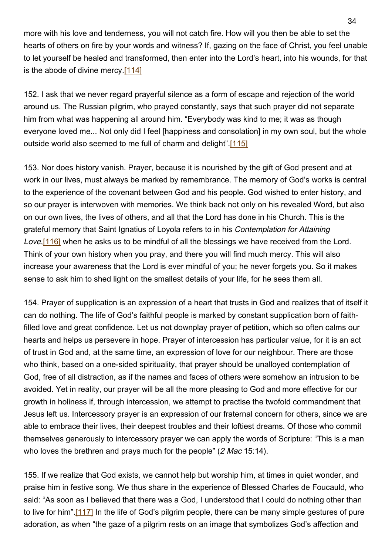more with his love and tenderness, you will not catch fire. How will you then be able to set the hearts of others on fire by your words and witness? If, gazing on the face of Christ, you feel unable to let yourself be healed and transformed, then enter into the Lord's heart, into his wounds, for that is the abode of divine mercy.[114]

152. I ask that we never regard prayerful silence as a form of escape and rejection of the world around us. The Russian pilgrim, who prayed constantly, says that such prayer did not separate him from what was happening all around him. "Everybody was kind to me; it was as though everyone loved me... Not only did I feel [happiness and consolation] in my own soul, but the whole outside world also seemed to me full of charm and delight".[115]

153. Nor does history vanish. Prayer, because it is nourished by the gift of God present and at work in our lives, must always be marked by remembrance. The memory of God's works is central to the experience of the covenant between God and his people. God wished to enter history, and so our prayer is interwoven with memories. We think back not only on his revealed Word, but also on our own lives, the lives of others, and all that the Lord has done in his Church. This is the grateful memory that Saint Ignatius of Loyola refers to in his Contemplation for Attaining Love, [116] when he asks us to be mindful of all the blessings we have received from the Lord. Think of your own history when you pray, and there you will find much mercy. This will also increase your awareness that the Lord is ever mindful of you; he never forgets you. So it makes sense to ask him to shed light on the smallest details of your life, for he sees them all.

154. Prayer of supplication is an expression of a heart that trusts in God and realizes that of itself it can do nothing. The life of God's faithful people is marked by constant supplication born of faithfilled love and great confidence. Let us not downplay prayer of petition, which so often calms our hearts and helps us persevere in hope. Prayer of intercession has particular value, for it is an act of trust in God and, at the same time, an expression of love for our neighbour. There are those who think, based on a one-sided spirituality, that prayer should be unalloyed contemplation of God, free of all distraction, as if the names and faces of others were somehow an intrusion to be avoided. Yet in reality, our prayer will be all the more pleasing to God and more effective for our growth in holiness if, through intercession, we attempt to practise the twofold commandment that Jesus left us. Intercessory prayer is an expression of our fraternal concern for others, since we are able to embrace their lives, their deepest troubles and their loftiest dreams. Of those who commit themselves generously to intercessory prayer we can apply the words of Scripture: "This is a man who loves the brethren and prays much for the people" (2 Mac 15:14).

155. If we realize that God exists, we cannot help but worship him, at times in quiet wonder, and praise him in festive song. We thus share in the experience of Blessed Charles de Foucauld, who said: "As soon as I believed that there was a God, I understood that I could do nothing other than to live for him".[117] In the life of God's pilgrim people, there can be many simple gestures of pure adoration, as when "the gaze of a pilgrim rests on an image that symbolizes God's affection and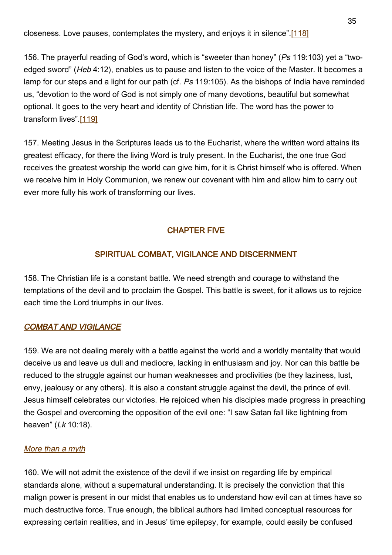closeness. Love pauses, contemplates the mystery, and enjoys it in silence".[118]

156. The prayerful reading of God's word, which is "sweeter than honey" (Ps 119:103) yet a "twoedged sword" (Heb 4:12), enables us to pause and listen to the voice of the Master. It becomes a lamp for our steps and a light for our path (cf. Ps 119:105). As the bishops of India have reminded us, "devotion to the word of God is not simply one of many devotions, beautiful but somewhat optional. It goes to the very heart and identity of Christian life. The word has the power to transform lives".[119]

157. Meeting Jesus in the Scriptures leads us to the Eucharist, where the written word attains its greatest efficacy, for there the living Word is truly present. In the Eucharist, the one true God receives the greatest worship the world can give him, for it is Christ himself who is offered. When we receive him in Holy Communion, we renew our covenant with him and allow him to carry out ever more fully his work of transforming our lives.

# <span id="page-34-0"></span>CHAPTER FIVE

# <span id="page-34-1"></span>SPIRITUAL COMBAT, VIGILANCE AND DISCERNMENT

158. The Christian life is a constant battle. We need strength and courage to withstand the temptations of the devil and to proclaim the Gospel. This battle is sweet, for it allows us to rejoice each time the Lord triumphs in our lives.

# <span id="page-34-2"></span>COMBAT AND VIGILANCE

159. We are not dealing merely with a battle against the world and a worldly mentality that would deceive us and leave us dull and mediocre, lacking in enthusiasm and joy. Nor can this battle be reduced to the struggle against our human weaknesses and proclivities (be they laziness, lust, envy, jealousy or any others). It is also a constant struggle against the devil, the prince of evil. Jesus himself celebrates our victories. He rejoiced when his disciples made progress in preaching the Gospel and overcoming the opposition of the evil one: "I saw Satan fall like lightning from heaven" (Lk 10:18).

### <span id="page-34-3"></span>More than a myth

160. We will not admit the existence of the devil if we insist on regarding life by empirical standards alone, without a supernatural understanding. It is precisely the conviction that this malign power is present in our midst that enables us to understand how evil can at times have so much destructive force. True enough, the biblical authors had limited conceptual resources for expressing certain realities, and in Jesus' time epilepsy, for example, could easily be confused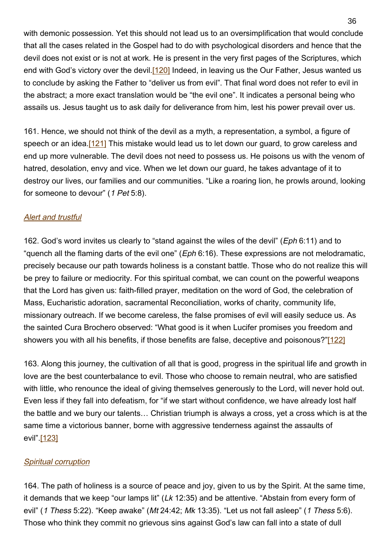with demonic possession. Yet this should not lead us to an oversimplification that would conclude that all the cases related in the Gospel had to do with psychological disorders and hence that the devil does not exist or is not at work. He is present in the very first pages of the Scriptures, which end with God's victory over the devil.<sup>[120]</sup> Indeed, in leaving us the Our Father, Jesus wanted us to conclude by asking the Father to "deliver us from evil". That final word does not refer to evil in the abstract; a more exact translation would be "the evil one". It indicates a personal being who assails us. Jesus taught us to ask daily for deliverance from him, lest his power prevail over us.

161. Hence, we should not think of the devil as a myth, a representation, a symbol, a figure of speech or an idea.<sup>[121]</sup> This mistake would lead us to let down our guard, to grow careless and end up more vulnerable. The devil does not need to possess us. He poisons us with the venom of hatred, desolation, envy and vice. When we let down our guard, he takes advantage of it to destroy our lives, our families and our communities. "Like a roaring lion, he prowls around, looking for someone to devour" (1 Pet 5:8).

#### <span id="page-35-0"></span>Alert and trustful

162. God's word invites us clearly to "stand against the wiles of the devil" (Eph 6:11) and to "quench all the flaming darts of the evil one" ( $Eph 6:16$ ). These expressions are not melodramatic, precisely because our path towards holiness is a constant battle. Those who do not realize this will be prey to failure or mediocrity. For this spiritual combat, we can count on the powerful weapons that the Lord has given us: faith-filled prayer, meditation on the word of God, the celebration of Mass, Eucharistic adoration, sacramental Reconciliation, works of charity, community life, missionary outreach. If we become careless, the false promises of evil will easily seduce us. As the sainted Cura Brochero observed: "What good is it when Lucifer promises you freedom and showers you with all his benefits, if those benefits are false, deceptive and poisonous?"[122]

163. Along this journey, the cultivation of all that is good, progress in the spiritual life and growth in love are the best counterbalance to evil. Those who choose to remain neutral, who are satisfied with little, who renounce the ideal of giving themselves generously to the Lord, will never hold out. Even less if they fall into defeatism, for "if we start without confidence, we have already lost half the battle and we bury our talents… Christian triumph is always a cross, yet a cross which is at the same time a victorious banner, borne with aggressive tenderness against the assaults of evil".[123]

#### <span id="page-35-1"></span>Spiritual corruption

164. The path of holiness is a source of peace and joy, given to us by the Spirit. At the same time, it demands that we keep "our lamps lit" (Lk 12:35) and be attentive. "Abstain from every form of evil" (1 Thess 5:22). "Keep awake" (Mt 24:42; Mk 13:35). "Let us not fall asleep" (1 Thess 5:6). Those who think they commit no grievous sins against God's law can fall into a state of dull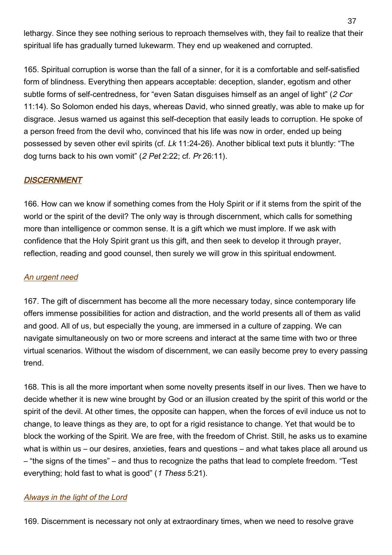lethargy. Since they see nothing serious to reproach themselves with, they fail to realize that their spiritual life has gradually turned lukewarm. They end up weakened and corrupted.

165. Spiritual corruption is worse than the fall of a sinner, for it is a comfortable and self-satisfied form of blindness. Everything then appears acceptable: deception, slander, egotism and other subtle forms of self-centredness, for "even Satan disguises himself as an angel of light" (2 Cor 11:14). So Solomon ended his days, whereas David, who sinned greatly, was able to make up for disgrace. Jesus warned us against this self-deception that easily leads to corruption. He spoke of a person freed from the devil who, convinced that his life was now in order, ended up being possessed by seven other evil spirits (cf. Lk 11:24-26). Another biblical text puts it bluntly: "The dog turns back to his own vomit" (2 Pet 2:22; cf. Pr 26:11).

### <span id="page-36-0"></span>**DISCERNMENT**

166. How can we know if something comes from the Holy Spirit or if it stems from the spirit of the world or the spirit of the devil? The only way is through discernment, which calls for something more than intelligence or common sense. It is a gift which we must implore. If we ask with confidence that the Holy Spirit grant us this gift, and then seek to develop it through prayer, reflection, reading and good counsel, then surely we will grow in this spiritual endowment.

### <span id="page-36-1"></span>An urgent need

167. The gift of discernment has become all the more necessary today, since contemporary life offers immense possibilities for action and distraction, and the world presents all of them as valid and good. All of us, but especially the young, are immersed in a culture of zapping. We can navigate simultaneously on two or more screens and interact at the same time with two or three virtual scenarios. Without the wisdom of discernment, we can easily become prey to every passing trend.

168. This is all the more important when some novelty presents itself in our lives. Then we have to decide whether it is new wine brought by God or an illusion created by the spirit of this world or the spirit of the devil. At other times, the opposite can happen, when the forces of evil induce us not to change, to leave things as they are, to opt for a rigid resistance to change. Yet that would be to block the working of the Spirit. We are free, with the freedom of Christ. Still, he asks us to examine what is within us – our desires, anxieties, fears and questions – and what takes place all around us – "the signs of the times" – and thus to recognize the paths that lead to complete freedom. "Test everything; hold fast to what is good" (1 Thess 5:21).

### <span id="page-36-2"></span>Always in the light of the Lord

169. Discernment is necessary not only at extraordinary times, when we need to resolve grave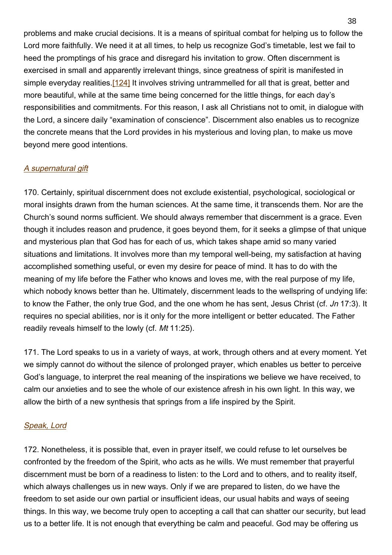problems and make crucial decisions. It is a means of spiritual combat for helping us to follow the Lord more faithfully. We need it at all times, to help us recognize God's timetable, lest we fail to heed the promptings of his grace and disregard his invitation to grow. Often discernment is exercised in small and apparently irrelevant things, since greatness of spirit is manifested in simple everyday realities.<sup>[124]</sup> It involves striving untrammelled for all that is great, better and more beautiful, while at the same time being concerned for the little things, for each day's responsibilities and commitments. For this reason, I ask all Christians not to omit, in dialogue with the Lord, a sincere daily "examination of conscience". Discernment also enables us to recognize the concrete means that the Lord provides in his mysterious and loving plan, to make us move beyond mere good intentions.

### <span id="page-37-0"></span>A supernatural gift

170. Certainly, spiritual discernment does not exclude existential, psychological, sociological or moral insights drawn from the human sciences. At the same time, it transcends them. Nor are the Church's sound norms sufficient. We should always remember that discernment is a grace. Even though it includes reason and prudence, it goes beyond them, for it seeks a glimpse of that unique and mysterious plan that God has for each of us, which takes shape amid so many varied situations and limitations. It involves more than my temporal well-being, my satisfaction at having accomplished something useful, or even my desire for peace of mind. It has to do with the meaning of my life before the Father who knows and loves me, with the real purpose of my life, which nobody knows better than he. Ultimately, discernment leads to the wellspring of undying life: to know the Father, the only true God, and the one whom he has sent, Jesus Christ (cf. Jn 17:3). It requires no special abilities, nor is it only for the more intelligent or better educated. The Father readily reveals himself to the lowly (cf. Mt 11:25).

171. The Lord speaks to us in a variety of ways, at work, through others and at every moment. Yet we simply cannot do without the silence of prolonged prayer, which enables us better to perceive God's language, to interpret the real meaning of the inspirations we believe we have received, to calm our anxieties and to see the whole of our existence afresh in his own light. In this way, we allow the birth of a new synthesis that springs from a life inspired by the Spirit.

### <span id="page-37-1"></span>Speak, Lord

172. Nonetheless, it is possible that, even in prayer itself, we could refuse to let ourselves be confronted by the freedom of the Spirit, who acts as he wills. We must remember that prayerful discernment must be born of a readiness to listen: to the Lord and to others, and to reality itself, which always challenges us in new ways. Only if we are prepared to listen, do we have the freedom to set aside our own partial or insufficient ideas, our usual habits and ways of seeing things. In this way, we become truly open to accepting a call that can shatter our security, but lead us to a better life. It is not enough that everything be calm and peaceful. God may be offering us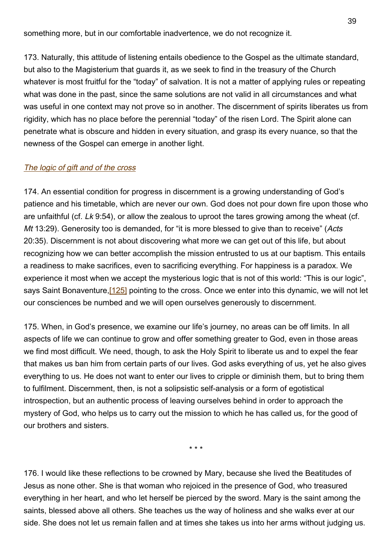something more, but in our comfortable inadvertence, we do not recognize it.

173. Naturally, this attitude of listening entails obedience to the Gospel as the ultimate standard, but also to the Magisterium that guards it, as we seek to find in the treasury of the Church whatever is most fruitful for the "today" of salvation. It is not a matter of applying rules or repeating what was done in the past, since the same solutions are not valid in all circumstances and what was useful in one context may not prove so in another. The discernment of spirits liberates us from rigidity, which has no place before the perennial "today" of the risen Lord. The Spirit alone can penetrate what is obscure and hidden in every situation, and grasp its every nuance, so that the newness of the Gospel can emerge in another light.

#### <span id="page-38-0"></span>The logic of gift and of the cross

174. An essential condition for progress in discernment is a growing understanding of God's patience and his timetable, which are never our own. God does not pour down fire upon those who are unfaithful (cf. Lk 9:54), or allow the zealous to uproot the tares growing among the wheat (cf. Mt 13:29). Generosity too is demanded, for "it is more blessed to give than to receive" (Acts 20:35). Discernment is not about discovering what more we can get out of this life, but about recognizing how we can better accomplish the mission entrusted to us at our baptism. This entails a readiness to make sacrifices, even to sacrificing everything. For happiness is a paradox. We experience it most when we accept the mysterious logic that is not of this world: "This is our logic", says Saint Bonaventure, [125] pointing to the cross. Once we enter into this dynamic, we will not let our consciences be numbed and we will open ourselves generously to discernment.

175. When, in God's presence, we examine our life's journey, no areas can be off limits. In all aspects of life we can continue to grow and offer something greater to God, even in those areas we find most difficult. We need, though, to ask the Holy Spirit to liberate us and to expel the fear that makes us ban him from certain parts of our lives. God asks everything of us, yet he also gives everything to us. He does not want to enter our lives to cripple or diminish them, but to bring them to fulfilment. Discernment, then, is not a solipsistic self-analysis or a form of egotistical introspection, but an authentic process of leaving ourselves behind in order to approach the mystery of God, who helps us to carry out the mission to which he has called us, for the good of our brothers and sisters.

\* \* \*

176. I would like these reflections to be crowned by Mary, because she lived the Beatitudes of Jesus as none other. She is that woman who rejoiced in the presence of God, who treasured everything in her heart, and who let herself be pierced by the sword. Mary is the saint among the saints, blessed above all others. She teaches us the way of holiness and she walks ever at our side. She does not let us remain fallen and at times she takes us into her arms without judging us.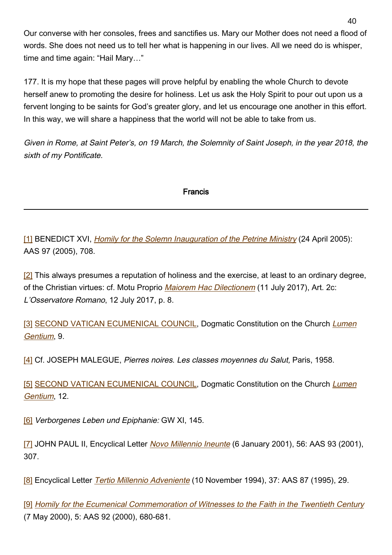Our converse with her consoles, frees and sanctifies us. Mary our Mother does not need a flood of words. She does not need us to tell her what is happening in our lives. All we need do is whisper, time and time again: "Hail Mary…"

177. It is my hope that these pages will prove helpful by enabling the whole Church to devote herself anew to promoting the desire for holiness. Let us ask the Holy Spirit to pour out upon us a fervent longing to be saints for God's greater glory, and let us encourage one another in this effort. In this way, we will share a happiness that the world will not be able to take from us.

Given in Rome, at Saint Peter's, on 19 March, the Solemnity of Saint Joseph, in the year 2018, the sixth of my Pontificate.

### Francis

[1] BENEDICT XVI, [Homily for the Solemn Inauguration of the Petrine Ministry](http://w2.vatican.va/content/benedict-xvi/en/homilies/2005/documents/hf_ben-xvi_hom_20050424_inizio-pontificato.html) (24 April 2005): AAS 97 (2005), 708.

[2] This always presumes a reputation of holiness and the exercise, at least to an ordinary degree, of the Christian virtues: cf. Motu Proprio [Maiorem Hac Dilectionem](http://w2.vatican.va/content/francesco/en/motu_proprio/documents/papa-francesco-motu-proprio_20170711_maiorem-hac-dilectionem.html) (11 July 2017), Art. 2c: L'Osservatore Romano, 12 July 2017, p. 8.

[3] [SECOND VATICAN ECUMENICAL COUNCIL](http://www.vatican.va/archive/hist_councils/ii_vatican_council/index.htm), Dogmatic Constitution on the Church [Lumen](http://www.vatican.va/archive/hist_councils/ii_vatican_council/documents/vat-ii_const_19641121_lumen-gentium_en.html) [Gentium](http://www.vatican.va/archive/hist_councils/ii_vatican_council/documents/vat-ii_const_19641121_lumen-gentium_en.html), 9.

[4] Cf. JOSEPH MALEGUE, Pierres noires. Les classes moyennes du Salut, Paris, 1958.

[5] [SECOND VATICAN ECUMENICAL COUNCIL](http://www.vatican.va/archive/hist_councils/ii_vatican_council/index.htm), Dogmatic Constitution on the Church [Lumen](http://www.vatican.va/archive/hist_councils/ii_vatican_council/documents/vat-ii_const_19641121_lumen-gentium_en.html) [Gentium](http://www.vatican.va/archive/hist_councils/ii_vatican_council/documents/vat-ii_const_19641121_lumen-gentium_en.html), 12.

[6] Verborgenes Leben und Epiphanie: GW XI, 145.

[7] JOHN PAUL II, Encyclical Letter [Novo Millennio Ineunte](https://w2.vatican.va/content/john-paul-ii/en/apost_letters/2001/documents/hf_jp-ii_apl_20010106_novo-millennio-ineunte.html) (6 January 2001), 56: AAS 93 (2001), 307.

[8] Encyclical Letter [Tertio Millennio Adveniente](https://w2.vatican.va/content/john-paul-ii/en/apost_letters/1994/documents/hf_jp-ii_apl_19941110_tertio-millennio-adveniente.html) (10 November 1994), 37: AAS 87 (1995), 29.

[9] [Homily for the Ecumenical Commemoration of Witnesses to the Faith in the Twentieth Century](https://w2.vatican.va/content/john-paul-ii/en/homilies/2000/documents/hf_jp-ii_hom_20000507_test-fede.html) (7 May 2000), 5: AAS 92 (2000), 680-681.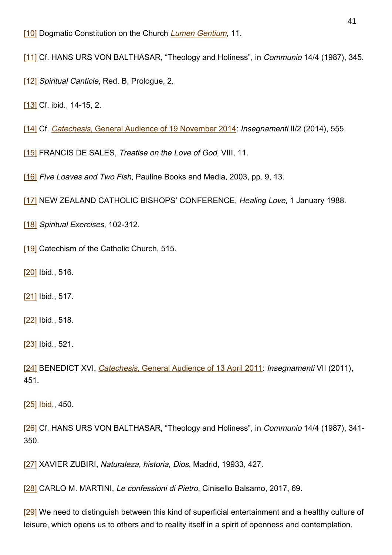[10] Dogmatic Constitution on the Church [Lumen Gentium](http://www.vatican.va/archive/hist_councils/ii_vatican_council/documents/vat-ii_const_19641121_lumen-gentium_en.html), 11.

[11] Cf. HANS URS VON BALTHASAR, "Theology and Holiness", in *Communio* 14/4 (1987), 345.

[12] Spiritual Canticle, Red. B, Prologue, 2.

[13] Cf. ibid., 14-15, 2.

[14] Cf. Catechesis[, General Audience of 19 November 2014:](http://w2.vatican.va/content/francesco/en/audiences/2014/documents/papa-francesco_20141119_udienza-generale.html) Insegnamenti II/2 (2014), 555.

[15] FRANCIS DE SALES, Treatise on the Love of God, VIII, 11.

[16] Five Loaves and Two Fish, Pauline Books and Media, 2003, pp. 9, 13.

[17] NEW ZEALAND CATHOLIC BISHOPS' CONFERENCE, Healing Love, 1 January 1988.

[18] Spiritual Exercises, 102-312.

[19] Catechism of the Catholic Church, 515.

[20] Ibid., 516.

[21] Ibid., 517.

[22] Ibid., 518.

[23] Ibid., 521.

[24] BENEDICT XVI, *Catechesis*[, General Audience of 13 April 2011:](http://w2.vatican.va/content/benedict-xvi/en/audiences/2011/documents/hf_ben-xvi_aud_20110413.html) *Insegnamenti* VII (2011), 451.

[25] **[Ibid.](http://w2.vatican.va/content/benedict-xvi/en/audiences/2011/documents/hf_ben-xvi_aud_20110413.html)**, 450.

[26] Cf. HANS URS VON BALTHASAR, "Theology and Holiness", in *Communio* 14/4 (1987), 341-350.

[27] XAVIER ZUBIRI, Naturaleza, historia, Dios, Madrid, 19933, 427.

[28] CARLO M. MARTINI, Le confessioni di Pietro, Cinisello Balsamo, 2017, 69.

[29] We need to distinguish between this kind of superficial entertainment and a healthy culture of leisure, which opens us to others and to reality itself in a spirit of openness and contemplation.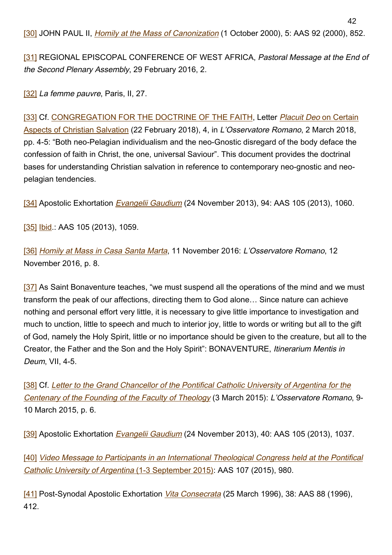[30] JOHN PAUL II, *[Homily at the Mass of Canonization](https://w2.vatican.va/content/john-paul-ii/en/homilies/2000/documents/hf_jp-ii_hom_20001001_canonization.html)* (1 October 2000), 5: AAS 92 (2000), 852.

[31] REGIONAL EPISCOPAL CONFERENCE OF WEST AFRICA, Pastoral Message at the End of the Second Plenary Assembly, 29 February 2016, 2.

[32] La femme pauvre, Paris, II, 27.

[33] Cf. [CONGREGATION FOR THE DOCTRINE OF THE FAITH,](http://www.vatican.va/roman_curia/congregations/cfaith/index.htm) Letter Placuit De[o](http://www.vatican.va/roman_curia/congregations/cfaith/documents/rc_con_cfaith_doc_20180222_placuit-deo_en.html) [on Certain](http://www.vatican.va/roman_curia/congregations/cfaith/documents/rc_con_cfaith_doc_20180222_placuit-deo_en.html) [Aspects of Christian Salvation](http://www.vatican.va/roman_curia/congregations/cfaith/documents/rc_con_cfaith_doc_20180222_placuit-deo_en.html) (22 February 2018), 4, in L'Osservatore Romano, 2 March 2018, pp. 4-5: "Both neo-Pelagian individualism and the neo-Gnostic disregard of the body deface the confession of faith in Christ, the one, universal Saviour". This document provides the doctrinal bases for understanding Christian salvation in reference to contemporary neo-gnostic and neopelagian tendencies.

[34] Apostolic Exhortation *[Evangelii Gaudium](http://w2.vatican.va/content/francesco/en/apost_exhortations/documents/papa-francesco_esortazione-ap_20131124_evangelii-gaudium.html)* (24 November 2013), 94: AAS 105 (2013), 1060.

[35] [Ibid.](http://w2.vatican.va/content/francesco/en/apost_exhortations/documents/papa-francesco_esortazione-ap_20131124_evangelii-gaudium.html): AAS 105 (2013), 1059.

[36] [Homily at Mass in Casa Santa Marta](http://w2.vatican.va/content/francesco/en/cotidie/2016/documents/papa-francesco-cotidie_20161011_brazen-faces.html), 11 November 2016: L'Osservatore Romano, 12 November 2016, p. 8.

[37] As Saint Bonaventure teaches, "we must suspend all the operations of the mind and we must transform the peak of our affections, directing them to God alone… Since nature can achieve nothing and personal effort very little, it is necessary to give little importance to investigation and much to unction, little to speech and much to interior joy, little to words or writing but all to the gift of God, namely the Holy Spirit, little or no importance should be given to the creature, but all to the Creator, the Father and the Son and the Holy Spirit": BONAVENTURE, Itinerarium Mentis in Deum, VII, 4-5.

[38] Cf. [Letter to the Grand Chancellor of the Pontifical Catholic University of Argentina for the](http://w2.vatican.va/content/francesco/en/letters/2015/documents/papa-francesco_20150303_lettera-universita-cattolica-argentina.html) [Centenary of the Founding of the Faculty of Theology](http://w2.vatican.va/content/francesco/en/letters/2015/documents/papa-francesco_20150303_lettera-universita-cattolica-argentina.html) (3 March 2015): L'Osservatore Romano, 9- 10 March 2015, p. 6.

[39] Apostolic Exhortation *[Evangelii Gaudium](http://w2.vatican.va/content/francesco/en/apost_exhortations/documents/papa-francesco_esortazione-ap_20131124_evangelii-gaudium.html)* (24 November 2013), 40: AAS 105 (2013), 1037.

[40] Video Message to Participants in an International Theological Congress held at the Pontifical Catholic University of Argentin[a](http://w2.vatican.va/content/francesco/en/messages/pont-messages/2015/documents/papa-francesco_20150903_videomessaggio-teologia-buenos-aires.html) [\(1-3 September 2015\):](http://w2.vatican.va/content/francesco/en/messages/pont-messages/2015/documents/papa-francesco_20150903_videomessaggio-teologia-buenos-aires.html) AAS 107 (2015), 980.

[41] Post-Synodal Apostolic Exhortation [Vita Consecrata](http://w2.vatican.va/content/john-paul-ii/en/apost_exhortations/documents/hf_jp-ii_exh_25031996_vita-consecrata.html) (25 March 1996), 38: AAS 88 (1996), 412.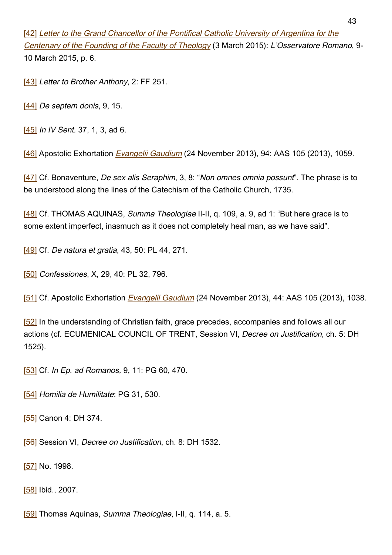[42] [Letter to the Grand Chancellor of the Pontifical Catholic University of Argentina for the](http://w2.vatican.va/content/francesco/en/letters/2015/documents/papa-francesco_20150303_lettera-universita-cattolica-argentina.html) [Centenary of the Founding of the Faculty of Theology](http://w2.vatican.va/content/francesco/en/letters/2015/documents/papa-francesco_20150303_lettera-universita-cattolica-argentina.html) (3 March 2015): L'Osservatore Romano, 9- 10 March 2015, p. 6.

[43] Letter to Brother Anthony, 2: FF 251.

[44] De septem donis, 9, 15.

[45] *In IV Sent.* 37, 1, 3, ad 6.

[46] Apostolic Exhortation *[Evangelii Gaudium](http://w2.vatican.va/content/francesco/en/apost_exhortations/documents/papa-francesco_esortazione-ap_20131124_evangelii-gaudium.html)* (24 November 2013), 94: AAS 105 (2013), 1059.

[47] Cf. Bonaventure, De sex alis Seraphim, 3, 8: "Non omnes omnia possunt". The phrase is to be understood along the lines of the Catechism of the Catholic Church, 1735.

[48] Cf. THOMAS AQUINAS, Summa Theologiae II-II, q. 109, a. 9, ad 1: "But here grace is to some extent imperfect, inasmuch as it does not completely heal man, as we have said".

[49] Cf. De natura et gratia, 43, 50: PL 44, 271.

[50] Confessiones, X, 29, 40: PL 32, 796.

[51] Cf. Apostolic Exhortation [Evangelii Gaudium](http://w2.vatican.va/content/francesco/en/apost_exhortations/documents/papa-francesco_esortazione-ap_20131124_evangelii-gaudium.html) (24 November 2013), 44: AAS 105 (2013), 1038.

[52] In the understanding of Christian faith, grace precedes, accompanies and follows all our actions (cf. ECUMENICAL COUNCIL OF TRENT, Session VI, Decree on Justification, ch. 5: DH 1525).

[53] Cf. In Ep. ad Romanos, 9, 11: PG 60, 470.

[54] Homilia de Humilitate: PG 31, 530.

[55] Canon 4: DH 374.

[56] Session VI, Decree on Justification, ch. 8: DH 1532.

[57] No. 1998.

[58] Ibid., 2007.

[59] Thomas Aquinas, Summa Theologiae, I-II, q. 114, a. 5.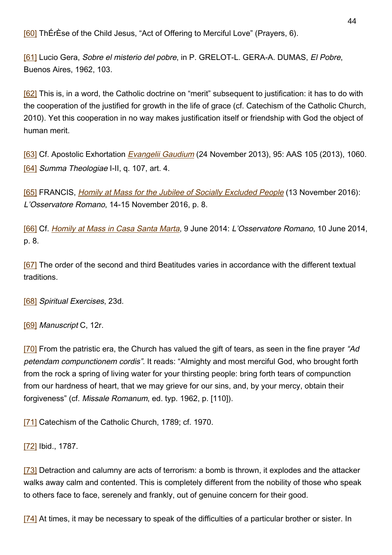[60] ThÉrÈse of the Child Jesus, "Act of Offering to Merciful Love" (Prayers, 6).

[61] Lucio Gera, Sobre el misterio del pobre, in P. GRELOT-L. GERA-A. DUMAS, El Pobre, Buenos Aires, 1962, 103.

[62] This is, in a word, the Catholic doctrine on "merit" subsequent to justification: it has to do with the cooperation of the justified for growth in the life of grace (cf. Catechism of the Catholic Church, 2010). Yet this cooperation in no way makes justification itself or friendship with God the object of human merit.

[63] Cf. Apostolic Exhortation *[Evangelii Gaudium](http://w2.vatican.va/content/francesco/en/apost_exhortations/documents/papa-francesco_esortazione-ap_20131124_evangelii-gaudium.html)* (24 November 2013), 95: AAS 105 (2013), 1060. [64] Summa Theologiae I-II, q. 107, art. 4.

[65] FRANCIS, [Homily at Mass for the Jubilee of Socially Excluded People](http://w2.vatican.va/content/francesco/en/homilies/2016/documents/papa-francesco_20161113_giubileo-omelia-senza-fissa-dimora.html) (13 November 2016): L'Osservatore Romano, 14-15 November 2016, p. 8.

[66] Cf. [Homily at Mass in Casa Santa Marta](http://w2.vatican.va/content/francesco/en/cotidie/2014/documents/papa-francesco-cotidie_20140609_christian-identity-card.html), 9 June 2014: L'Osservatore Romano, 10 June 2014, p. 8.

[67] The order of the second and third Beatitudes varies in accordance with the different textual traditions.

[68] Spiritual Exercises, 23d.

[69] Manuscript C, 12r.

[70] From the patristic era, the Church has valued the gift of tears, as seen in the fine prayer "Ad" petendam compunctionem cordis". It reads: "Almighty and most merciful God, who brought forth from the rock a spring of living water for your thirsting people: bring forth tears of compunction from our hardness of heart, that we may grieve for our sins, and, by your mercy, obtain their forgiveness" (cf. Missale Romanum, ed. typ. 1962, p. [110]).

[71] Catechism of the Catholic Church, 1789; cf. 1970.

[72] Ibid., 1787.

[73] Detraction and calumny are acts of terrorism: a bomb is thrown, it explodes and the attacker walks away calm and contented. This is completely different from the nobility of those who speak to others face to face, serenely and frankly, out of genuine concern for their good.

[74] At times, it may be necessary to speak of the difficulties of a particular brother or sister. In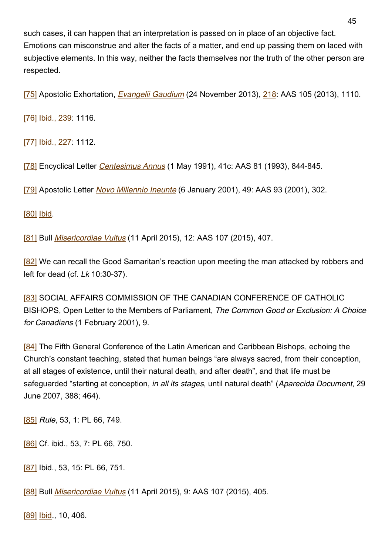such cases, it can happen that an interpretation is passed on in place of an objective fact. Emotions can misconstrue and alter the facts of a matter, and end up passing them on laced with subjective elements. In this way, neither the facts themselves nor the truth of the other person are respected.

[75] Apostolic Exhortation, *[Evangelii Gaudium](http://w2.vatican.va/content/francesco/en/apost_exhortations/documents/papa-francesco_esortazione-ap_20131124_evangelii-gaudium.html)* (24 November 2013), [218](http://w2.vatican.va/content/francesco/en/apost_exhortations/documents/papa-francesco_esortazione-ap_20131124_evangelii-gaudium.html#III.The_common_good_and_peace_in_society): AAS 105 (2013), 1110.

[76] [Ibid](http://w2.vatican.va/content/francesco/en/apost_exhortations/documents/papa-francesco_esortazione-ap_20131124_evangelii-gaudium.html#IV.Social_dialogue_as_a_contribution_to_peace).[, 239:](http://w2.vatican.va/content/francesco/en/apost_exhortations/documents/papa-francesco_esortazione-ap_20131124_evangelii-gaudium.html#IV.Social_dialogue_as_a_contribution_to_peace) 1116.

[77] [Ibid](http://w2.vatican.va/content/francesco/en/apost_exhortations/documents/papa-francesco_esortazione-ap_20131124_evangelii-gaudium.html#Unity_prevails_over_conflict).[, 227:](http://w2.vatican.va/content/francesco/en/apost_exhortations/documents/papa-francesco_esortazione-ap_20131124_evangelii-gaudium.html#Unity_prevails_over_conflict) 1112.

[78] Encyclical Letter *[Centesimus Annus](http://w2.vatican.va/content/john-paul-ii/en/encyclicals/documents/hf_jp-ii_enc_01051991_centesimus-annus.html)* (1 May 1991), 41c: AAS 81 (1993), 844-845.

[79] Apostolic Letter [Novo Millennio Ineunte](https://w2.vatican.va/content/john-paul-ii/en/apost_letters/2001/documents/hf_jp-ii_apl_20010106_novo-millennio-ineunte.html) (6 January 2001), 49: AAS 93 (2001), 302.

[80] [Ibid.](https://w2.vatican.va/content/john-paul-ii/en/apost_letters/2001/documents/hf_jp-ii_apl_20010106_novo-millennio-ineunte.html)

[81] Bull [Misericordiae Vultus](https://w2.vatican.va/content/francesco/en/apost_letters/documents/papa-francesco_bolla_20150411_misericordiae-vultus.html) (11 April 2015), 12: AAS 107 (2015), 407.

[82] We can recall the Good Samaritan's reaction upon meeting the man attacked by robbers and left for dead (cf. Lk 10:30-37).

[83] SOCIAL AFFAIRS COMMISSION OF THE CANADIAN CONFERENCE OF CATHOLIC BISHOPS, Open Letter to the Members of Parliament, The Common Good or Exclusion: A Choice for Canadians (1 February 2001), 9.

[84] The Fifth General Conference of the Latin American and Caribbean Bishops, echoing the Church's constant teaching, stated that human beings "are always sacred, from their conception, at all stages of existence, until their natural death, and after death", and that life must be safeguarded "starting at conception, in all its stages, until natural death" (Aparecida Document, 29 June 2007, 388; 464).

[85] Rule, 53, 1: PL 66, 749.

[86] Cf. ibid., 53, 7: PL 66, 750.

[87] Ibid., 53, 15: PL 66, 751.

[88] Bull [Misericordiae Vultus](https://w2.vatican.va/content/francesco/en/apost_letters/documents/papa-francesco_bolla_20150411_misericordiae-vultus.html) (11 April 2015), 9: AAS 107 (2015), 405.

[89] [Ibid](https://w2.vatican.va/content/francesco/en/apost_letters/documents/papa-francesco_bolla_20150411_misericordiae-vultus.html)., 10, 406.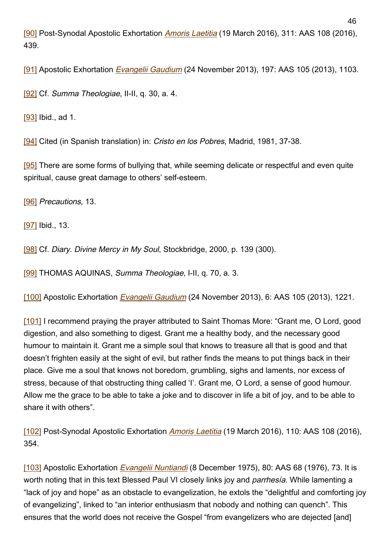[90] Post-Synodal Apostolic Exhortation [Amoris Laetitia](http://w2.vatican.va/content/francesco/en/apost_exhortations/documents/papa-francesco_esortazione-ap_20160319_amoris-laetitia.html) (19 March 2016), 311: AAS 108 (2016), 439.

[91] Apostolic Exhortation [Evangelii Gaudium](http://w2.vatican.va/content/francesco/en/apost_exhortations/documents/papa-francesco_esortazione-ap_20131124_evangelii-gaudium.html) (24 November 2013), 197: AAS 105 (2013), 1103.

[92] Cf. Summa Theologiae, II-II, q. 30, a. 4.

[93] Ibid., ad 1.

[94] Cited (in Spanish translation) in: Cristo en los Pobres, Madrid, 1981, 37-38.

[95] There are some forms of bullying that, while seeming delicate or respectful and even quite spiritual, cause great damage to others' self-esteem.

[96] Precautions, 13.

[97] Ibid., 13.

[98] Cf. Diary. Divine Mercy in My Soul, Stockbridge, 2000, p. 139 (300).

[99] THOMAS AQUINAS, Summa Theologiae, I-II, q. 70, a. 3.

[100] Apostolic Exhortation *[Evangelii Gaudium](http://w2.vatican.va/content/francesco/en/apost_exhortations/documents/papa-francesco_esortazione-ap_20131124_evangelii-gaudium.html)* (24 November 2013), 6: AAS 105 (2013), 1221.

[101] I recommend praying the prayer attributed to Saint Thomas More: "Grant me, O Lord, good digestion, and also something to digest. Grant me a healthy body, and the necessary good humour to maintain it. Grant me a simple soul that knows to treasure all that is good and that doesn't frighten easily at the sight of evil, but rather finds the means to put things back in their place. Give me a soul that knows not boredom, grumbling, sighs and laments, nor excess of stress, because of that obstructing thing called 'I'. Grant me, O Lord, a sense of good humour. Allow me the grace to be able to take a joke and to discover in life a bit of joy, and to be able to share it with others".

[102] Post-Synodal Apostolic Exhortation *[Amoris Laetitia](http://w2.vatican.va/content/francesco/en/apost_exhortations/documents/papa-francesco_esortazione-ap_20160319_amoris-laetitia.html)* (19 March 2016), 110: AAS 108 (2016), 354.

[103] Apostolic Exhortation *[Evangelii Nuntiandi](http://w2.vatican.va/content/paul-vi/en/apost_exhortations/documents/hf_p-vi_exh_19751208_evangelii-nuntiandi.html)* (8 December 1975), 80: AAS 68 (1976), 73. It is worth noting that in this text Blessed Paul VI closely links joy and *parrhesia*. While lamenting a "lack of joy and hope" as an obstacle to evangelization, he extols the "delightful and comforting joy of evangelizing", linked to "an interior enthusiasm that nobody and nothing can quench". This ensures that the world does not receive the Gospel "from evangelizers who are dejected [and]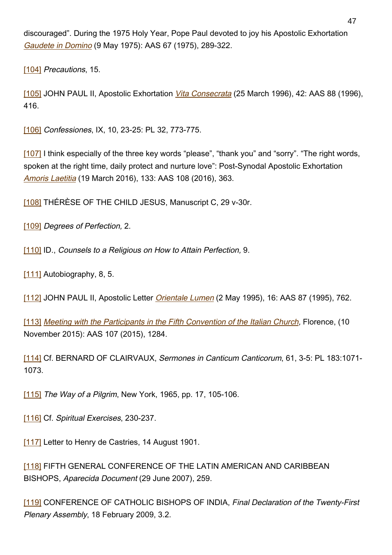discouraged". During the 1975 Holy Year, Pope Paul devoted to joy his Apostolic Exhortation [Gaudete in Domino](http://w2.vatican.va/content/paul-vi/en/apost_exhortations/documents/hf_p-vi_exh_19750509_gaudete-in-domino.html) (9 May 1975): AAS 67 (1975), 289-322.

[104] Precautions, 15.

[105] JOHN PAUL II, Apostolic Exhortation *[Vita Consecrata](http://w2.vatican.va/content/john-paul-ii/en/apost_exhortations/documents/hf_jp-ii_exh_25031996_vita-consecrata.html)* (25 March 1996), 42: AAS 88 (1996), 416.

[106] Confessiones, IX, 10, 23-25: PL 32, 773-775.

[107] I think especially of the three key words "please", "thank you" and "sorry". "The right words, spoken at the right time, daily protect and nurture love": Post-Synodal Apostolic Exhortation [Amoris Laetitia](http://w2.vatican.va/content/francesco/en/apost_exhortations/documents/papa-francesco_esortazione-ap_20160319_amoris-laetitia.html) (19 March 2016), 133: AAS 108 (2016), 363.

[108] THÉRÈSE OF THE CHILD JESUS, Manuscript C, 29 v-30r.

[109] Degrees of Perfection, 2.

[110] ID., Counsels to a Religious on How to Attain Perfection, 9.

[111] Autobiography, 8, 5.

[112] JOHN PAUL II, Apostolic Letter [Orientale Lumen](https://w2.vatican.va/content/john-paul-ii/en/apost_letters/1995/documents/hf_jp-ii_apl_19950502_orientale-lumen.html) (2 May 1995), 16: AAS 87 (1995), 762.

[113] [Meeting with the Participants in the Fifth Convention of the Italian Church](https://w2.vatican.va/content/francesco/en/speeches/2015/november/documents/papa-francesco_20151110_firenze-convegno-chiesa-italiana.html), Florence, (10 November 2015): AAS 107 (2015), 1284.

[114] Cf. BERNARD OF CLAIRVAUX, Sermones in Canticum Canticorum, 61, 3-5: PL 183:1071- 1073.

[115] The Way of a Pilgrim, New York, 1965, pp. 17, 105-106.

[116] Cf. Spiritual Exercises, 230-237.

[117] Letter to Henry de Castries, 14 August 1901.

[118] FIFTH GENERAL CONFERENCE OF THE LATIN AMERICAN AND CARIBBEAN BISHOPS, Aparecida Document (29 June 2007), 259.

[119] CONFERENCE OF CATHOLIC BISHOPS OF INDIA, Final Declaration of the Twenty-First Plenary Assembly, 18 February 2009, 3.2.